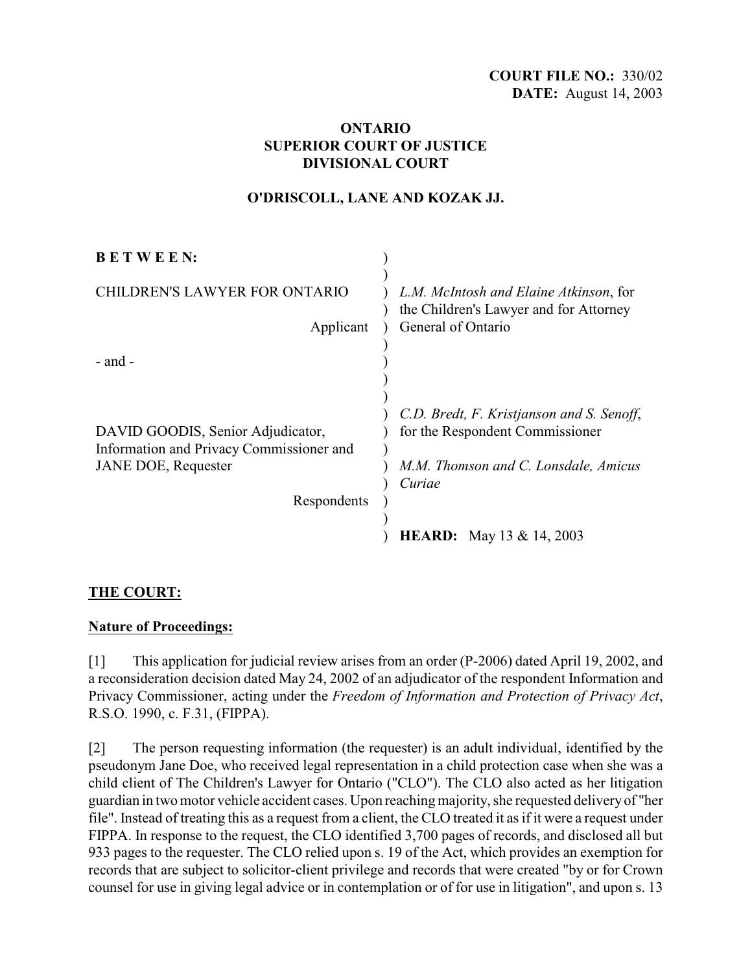### **ONTARIO SUPERIOR COURT OF JUSTICE DIVISIONAL COURT**

### **O'DRISCOLL, LANE AND KOZAK JJ.**

| <b>BETWEEN:</b>                                                                                             |                                                                                                                      |
|-------------------------------------------------------------------------------------------------------------|----------------------------------------------------------------------------------------------------------------------|
| <b>CHILDREN'S LAWYER FOR ONTARIO</b><br>Applicant                                                           | L.M. McIntosh and Elaine Atkinson, for<br>the Children's Lawyer and for Attorney<br>General of Ontario               |
| - and -                                                                                                     |                                                                                                                      |
| DAVID GOODIS, Senior Adjudicator,<br>Information and Privacy Commissioner and<br><b>JANE DOE, Requester</b> | C.D. Bredt, F. Kristjanson and S. Senoff,<br>for the Respondent Commissioner<br>M.M. Thomson and C. Lonsdale, Amicus |
| Respondents                                                                                                 | Curiae                                                                                                               |
|                                                                                                             | <b>HEARD:</b> May 13 & 14, 2003                                                                                      |

### **THE COURT:**

#### **Nature of Proceedings:**

[1] This application for judicial review arises from an order (P-2006) dated April 19, 2002, and a reconsideration decision dated May 24, 2002 of an adjudicator of the respondent Information and Privacy Commissioner, acting under the *Freedom of Information and Protection of Privacy Act*, R.S.O. 1990, c. F.31, (FIPPA).

[2] The person requesting information (the requester) is an adult individual, identified by the pseudonym Jane Doe, who received legal representation in a child protection case when she was a child client of The Children's Lawyer for Ontario ("CLO"). The CLO also acted as her litigation guardian in two motor vehicle accident cases. Upon reaching majority, she requested delivery of "her file". Instead of treating this as a request from a client, the CLO treated it as if it were a request under FIPPA. In response to the request, the CLO identified 3,700 pages of records, and disclosed all but 933 pages to the requester. The CLO relied upon s. 19 of the Act, which provides an exemption for records that are subject to solicitor-client privilege and records that were created "by or for Crown counsel for use in giving legal advice or in contemplation or of for use in litigation", and upon s. 13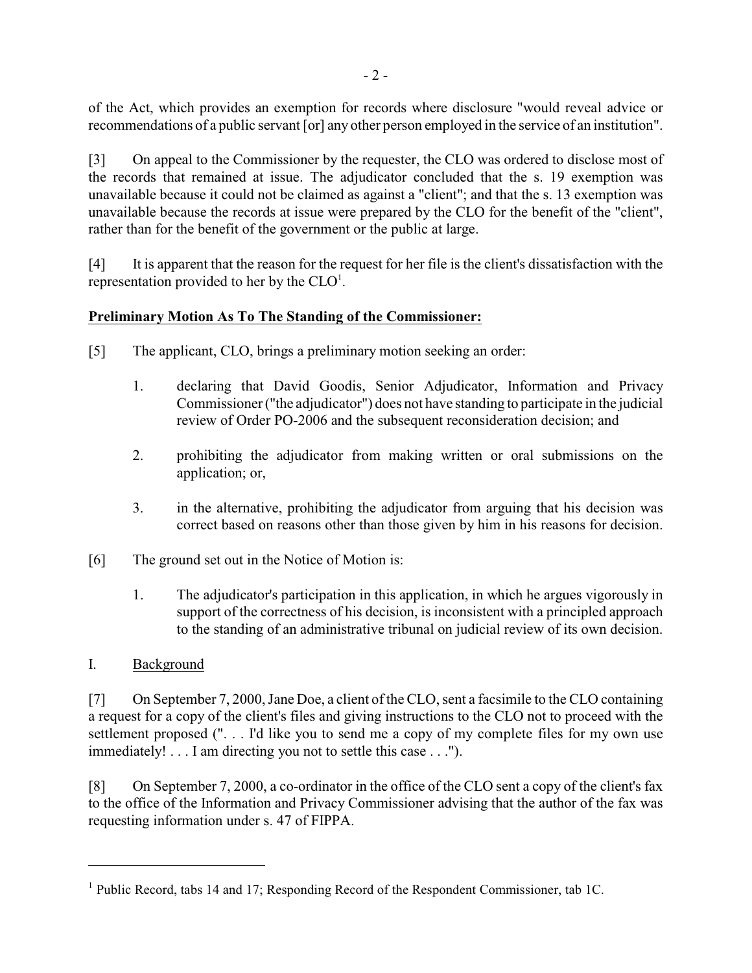of the Act, which provides an exemption for records where disclosure "would reveal advice or recommendations of a public servant [or] any other person employed in the service of an institution".

[3] On appeal to the Commissioner by the requester, the CLO was ordered to disclose most of the records that remained at issue. The adjudicator concluded that the s. 19 exemption was unavailable because it could not be claimed as against a "client"; and that the s. 13 exemption was unavailable because the records at issue were prepared by the CLO for the benefit of the "client", rather than for the benefit of the government or the public at large.

[4] It is apparent that the reason for the request for her file is the client's dissatisfaction with the representation provided to her by the  $\text{CLO}^1$ .

## **Preliminary Motion As To The Standing of the Commissioner:**

- [5] The applicant, CLO, brings a preliminary motion seeking an order:
	- 1. declaring that David Goodis, Senior Adjudicator, Information and Privacy Commissioner ("the adjudicator") does not have standing to participate in the judicial review of Order PO-2006 and the subsequent reconsideration decision; and
	- 2. prohibiting the adjudicator from making written or oral submissions on the application; or,
	- 3. in the alternative, prohibiting the adjudicator from arguing that his decision was correct based on reasons other than those given by him in his reasons for decision.
- [6] The ground set out in the Notice of Motion is:
	- 1. The adjudicator's participation in this application, in which he argues vigorously in support of the correctness of his decision, is inconsistent with a principled approach to the standing of an administrative tribunal on judicial review of its own decision.
- I. Background

[7] On September 7, 2000, Jane Doe, a client of the CLO, sent a facsimile to the CLO containing a request for a copy of the client's files and giving instructions to the CLO not to proceed with the settlement proposed (". . . I'd like you to send me a copy of my complete files for my own use immediately! . . . I am directing you not to settle this case . . .").

[8] On September 7, 2000, a co-ordinator in the office of the CLO sent a copy of the client's fax to the office of the Information and Privacy Commissioner advising that the author of the fax was requesting information under s. 47 of FIPPA.

<sup>&</sup>lt;sup>1</sup> Public Record, tabs 14 and 17; Responding Record of the Respondent Commissioner, tab 1C.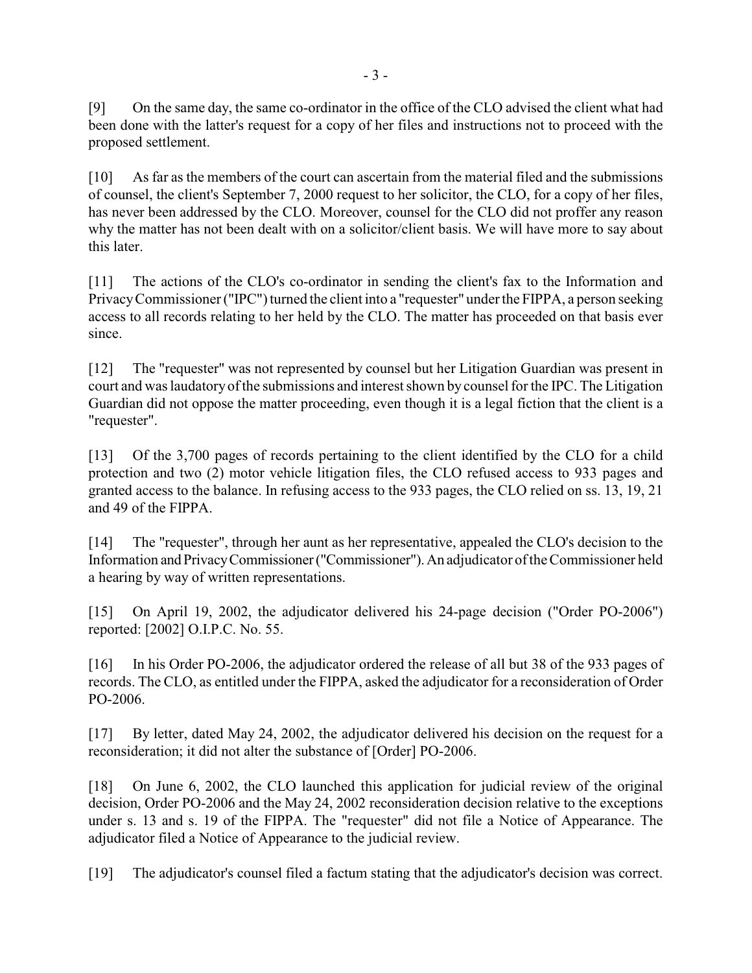[9] On the same day, the same co-ordinator in the office of the CLO advised the client what had been done with the latter's request for a copy of her files and instructions not to proceed with the proposed settlement.

[10] As far as the members of the court can ascertain from the material filed and the submissions of counsel, the client's September 7, 2000 request to her solicitor, the CLO, for a copy of her files, has never been addressed by the CLO. Moreover, counsel for the CLO did not proffer any reason why the matter has not been dealt with on a solicitor/client basis. We will have more to say about this later.

[11] The actions of the CLO's co-ordinator in sending the client's fax to the Information and PrivacyCommissioner ("IPC") turned the client into a "requester" under the FIPPA, a person seeking access to all records relating to her held by the CLO. The matter has proceeded on that basis ever since.

[12] The "requester" was not represented by counsel but her Litigation Guardian was present in court and was laudatoryof the submissions and interest shown by counsel for the IPC. The Litigation Guardian did not oppose the matter proceeding, even though it is a legal fiction that the client is a "requester".

[13] Of the 3,700 pages of records pertaining to the client identified by the CLO for a child protection and two (2) motor vehicle litigation files, the CLO refused access to 933 pages and granted access to the balance. In refusing access to the 933 pages, the CLO relied on ss. 13, 19, 21 and 49 of the FIPPA.

[14] The "requester", through her aunt as her representative, appealed the CLO's decision to the Information and Privacy Commissioner ("Commissioner"). An adjudicator of the Commissioner held a hearing by way of written representations.

[15] On April 19, 2002, the adjudicator delivered his 24-page decision ("Order PO-2006") reported: [2002] O.I.P.C. No. 55.

[16] In his Order PO-2006, the adjudicator ordered the release of all but 38 of the 933 pages of records. The CLO, as entitled under the FIPPA, asked the adjudicator for a reconsideration of Order PO-2006.

[17] By letter, dated May 24, 2002, the adjudicator delivered his decision on the request for a reconsideration; it did not alter the substance of [Order] PO-2006.

[18] On June 6, 2002, the CLO launched this application for judicial review of the original decision, Order PO-2006 and the May 24, 2002 reconsideration decision relative to the exceptions under s. 13 and s. 19 of the FIPPA. The "requester" did not file a Notice of Appearance. The adjudicator filed a Notice of Appearance to the judicial review.

[19] The adjudicator's counsel filed a factum stating that the adjudicator's decision was correct.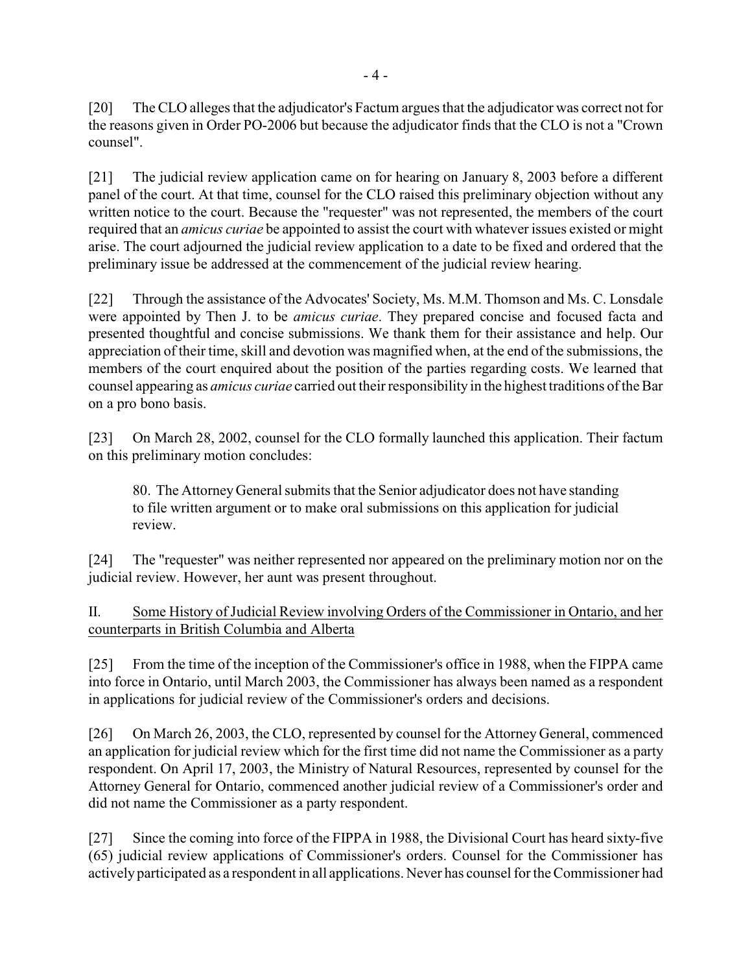[20] The CLO alleges that the adjudicator's Factum argues that the adjudicator was correct not for the reasons given in Order PO-2006 but because the adjudicator finds that the CLO is not a "Crown counsel".

[21] The judicial review application came on for hearing on January 8, 2003 before a different panel of the court. At that time, counsel for the CLO raised this preliminary objection without any written notice to the court. Because the "requester" was not represented, the members of the court required that an *amicus curiae* be appointed to assist the court with whatever issues existed or might arise. The court adjourned the judicial review application to a date to be fixed and ordered that the preliminary issue be addressed at the commencement of the judicial review hearing.

[22] Through the assistance of the Advocates' Society, Ms. M.M. Thomson and Ms. C. Lonsdale were appointed by Then J. to be *amicus curiae*. They prepared concise and focused facta and presented thoughtful and concise submissions. We thank them for their assistance and help. Our appreciation of their time, skill and devotion was magnified when, at the end of the submissions, the members of the court enquired about the position of the parties regarding costs. We learned that counsel appearing as *amicus curiae* carried out their responsibility in the highest traditions of the Bar on a pro bono basis.

[23] On March 28, 2002, counsel for the CLO formally launched this application. Their factum on this preliminary motion concludes:

80. The Attorney General submits that the Senior adjudicator does not have standing to file written argument or to make oral submissions on this application for judicial review.

[24] The "requester" was neither represented nor appeared on the preliminary motion nor on the judicial review. However, her aunt was present throughout.

II. Some History of Judicial Review involving Orders of the Commissioner in Ontario, and her counterparts in British Columbia and Alberta

[25] From the time of the inception of the Commissioner's office in 1988, when the FIPPA came into force in Ontario, until March 2003, the Commissioner has always been named as a respondent in applications for judicial review of the Commissioner's orders and decisions.

[26] On March 26, 2003, the CLO, represented by counsel for the Attorney General, commenced an application for judicial review which for the first time did not name the Commissioner as a party respondent. On April 17, 2003, the Ministry of Natural Resources, represented by counsel for the Attorney General for Ontario, commenced another judicial review of a Commissioner's order and did not name the Commissioner as a party respondent.

[27] Since the coming into force of the FIPPA in 1988, the Divisional Court has heard sixty-five (65) judicial review applications of Commissioner's orders. Counsel for the Commissioner has actively participated as a respondent in all applications. Never has counsel for the Commissioner had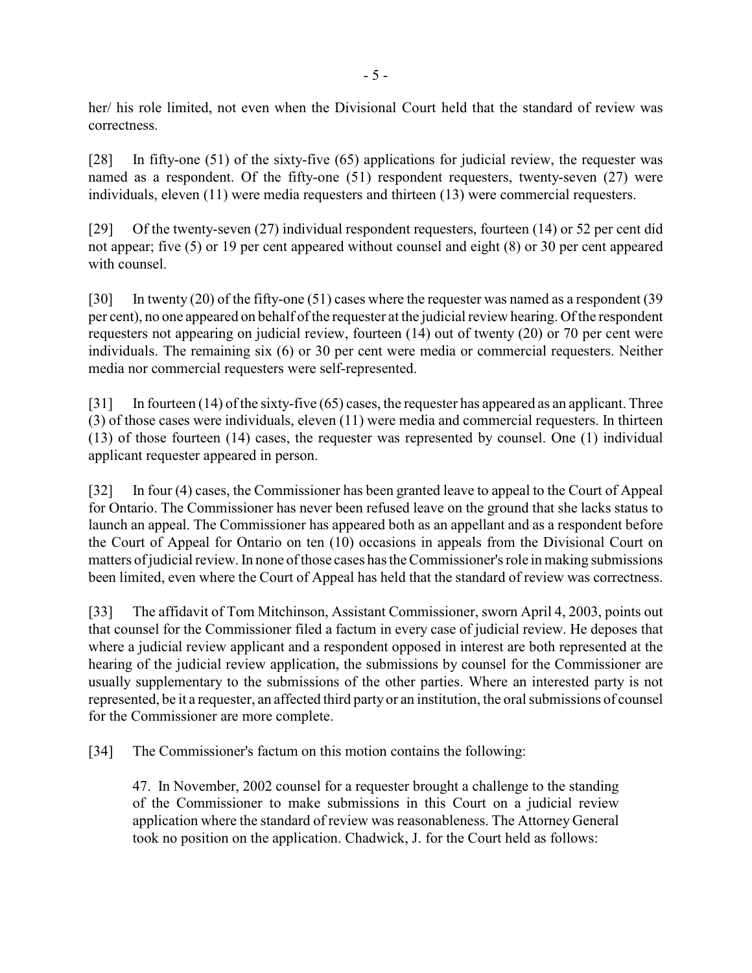her/ his role limited, not even when the Divisional Court held that the standard of review was correctness.

[28] In fifty-one (51) of the sixty-five (65) applications for judicial review, the requester was named as a respondent. Of the fifty-one (51) respondent requesters, twenty-seven (27) were individuals, eleven (11) were media requesters and thirteen (13) were commercial requesters.

[29] Of the twenty-seven (27) individual respondent requesters, fourteen (14) or 52 per cent did not appear; five (5) or 19 per cent appeared without counsel and eight (8) or 30 per cent appeared with counsel.

[30] In twenty (20) of the fifty-one (51) cases where the requester was named as a respondent (39 per cent), no one appeared on behalf of the requester at the judicial review hearing. Of the respondent requesters not appearing on judicial review, fourteen (14) out of twenty (20) or 70 per cent were individuals. The remaining six (6) or 30 per cent were media or commercial requesters. Neither media nor commercial requesters were self-represented.

[31] In fourteen (14) of the sixty-five (65) cases, the requester has appeared as an applicant. Three (3) of those cases were individuals, eleven (11) were media and commercial requesters. In thirteen (13) of those fourteen (14) cases, the requester was represented by counsel. One (1) individual applicant requester appeared in person.

[32] In four (4) cases, the Commissioner has been granted leave to appeal to the Court of Appeal for Ontario. The Commissioner has never been refused leave on the ground that she lacks status to launch an appeal. The Commissioner has appeared both as an appellant and as a respondent before the Court of Appeal for Ontario on ten (10) occasions in appeals from the Divisional Court on matters of judicial review. In none of those cases has the Commissioner's role in making submissions been limited, even where the Court of Appeal has held that the standard of review was correctness.

[33] The affidavit of Tom Mitchinson, Assistant Commissioner, sworn April 4, 2003, points out that counsel for the Commissioner filed a factum in every case of judicial review. He deposes that where a judicial review applicant and a respondent opposed in interest are both represented at the hearing of the judicial review application, the submissions by counsel for the Commissioner are usually supplementary to the submissions of the other parties. Where an interested party is not represented, be it a requester, an affected third party or an institution, the oral submissions of counsel for the Commissioner are more complete.

[34] The Commissioner's factum on this motion contains the following:

47. In November, 2002 counsel for a requester brought a challenge to the standing of the Commissioner to make submissions in this Court on a judicial review application where the standard of review was reasonableness. The Attorney General took no position on the application. Chadwick, J. for the Court held as follows: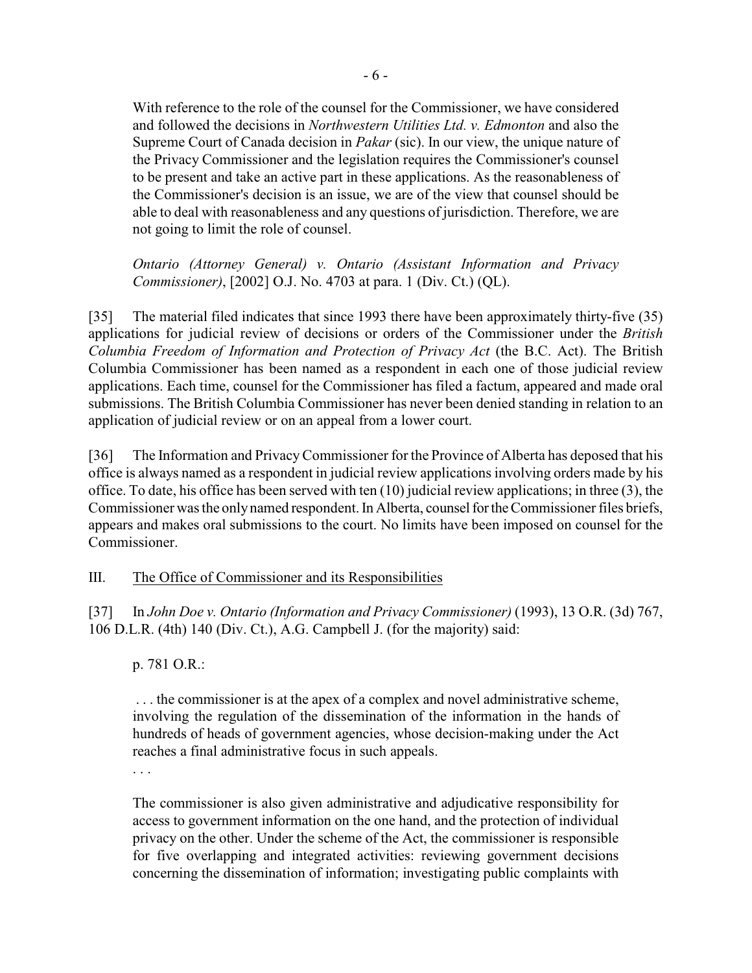With reference to the role of the counsel for the Commissioner, we have considered and followed the decisions in *Northwestern Utilities Ltd. v. Edmonton* and also the Supreme Court of Canada decision in *Pakar* (sic). In our view, the unique nature of the Privacy Commissioner and the legislation requires the Commissioner's counsel to be present and take an active part in these applications. As the reasonableness of the Commissioner's decision is an issue, we are of the view that counsel should be able to deal with reasonableness and any questions of jurisdiction. Therefore, we are not going to limit the role of counsel.

*Ontario (Attorney General) v. Ontario (Assistant Information and Privacy Commissioner)*, [2002] O.J. No. 4703 at para. 1 (Div. Ct.) (QL).

[35] The material filed indicates that since 1993 there have been approximately thirty-five (35) applications for judicial review of decisions or orders of the Commissioner under the *British Columbia Freedom of Information and Protection of Privacy Act* (the B.C. Act). The British Columbia Commissioner has been named as a respondent in each one of those judicial review applications. Each time, counsel for the Commissioner has filed a factum, appeared and made oral submissions. The British Columbia Commissioner has never been denied standing in relation to an application of judicial review or on an appeal from a lower court.

[36] The Information and PrivacyCommissioner for the Province of Alberta has deposed that his office is always named as a respondent in judicial review applications involving orders made by his office. To date, his office has been served with ten (10) judicial review applications; in three (3), the Commissioner was the only named respondent. In Alberta, counsel for the Commissioner files briefs, appears and makes oral submissions to the court. No limits have been imposed on counsel for the Commissioner.

### III. The Office of Commissioner and its Responsibilities

[37] In *John Doe v. Ontario (Information and Privacy Commissioner)* (1993), 13 O.R. (3d) 767, 106 D.L.R. (4th) 140 (Div. Ct.), A.G. Campbell J. (for the majority) said:

p. 781 O.R.:

 . . . the commissioner is at the apex of a complex and novel administrative scheme, involving the regulation of the dissemination of the information in the hands of hundreds of heads of government agencies, whose decision-making under the Act reaches a final administrative focus in such appeals.

. . .

The commissioner is also given administrative and adjudicative responsibility for access to government information on the one hand, and the protection of individual privacy on the other. Under the scheme of the Act, the commissioner is responsible for five overlapping and integrated activities: reviewing government decisions concerning the dissemination of information; investigating public complaints with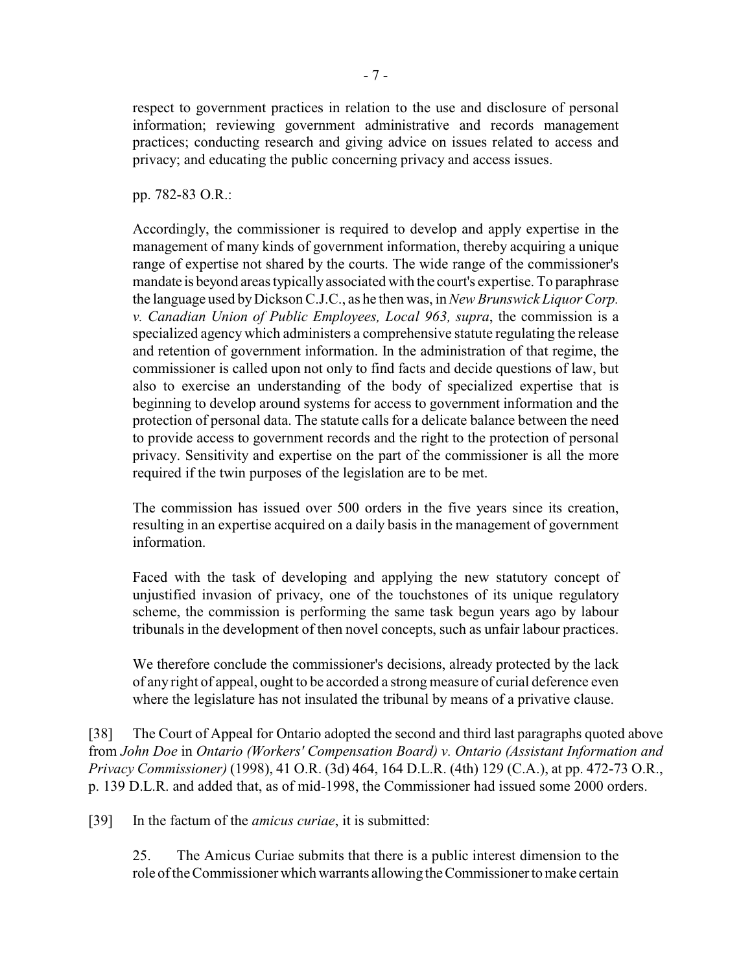respect to government practices in relation to the use and disclosure of personal information; reviewing government administrative and records management practices; conducting research and giving advice on issues related to access and privacy; and educating the public concerning privacy and access issues.

pp. 782-83 O.R.:

Accordingly, the commissioner is required to develop and apply expertise in the management of many kinds of government information, thereby acquiring a unique range of expertise not shared by the courts. The wide range of the commissioner's mandate is beyond areas typically associated with the court's expertise. To paraphrase the language used by Dickson C.J.C., as he then was, in *New Brunswick Liquor Corp. v. Canadian Union of Public Employees, Local 963, supra*, the commission is a specialized agency which administers a comprehensive statute regulating the release and retention of government information. In the administration of that regime, the commissioner is called upon not only to find facts and decide questions of law, but also to exercise an understanding of the body of specialized expertise that is beginning to develop around systems for access to government information and the protection of personal data. The statute calls for a delicate balance between the need to provide access to government records and the right to the protection of personal privacy. Sensitivity and expertise on the part of the commissioner is all the more required if the twin purposes of the legislation are to be met.

The commission has issued over 500 orders in the five years since its creation, resulting in an expertise acquired on a daily basis in the management of government information.

Faced with the task of developing and applying the new statutory concept of unjustified invasion of privacy, one of the touchstones of its unique regulatory scheme, the commission is performing the same task begun years ago by labour tribunals in the development of then novel concepts, such as unfair labour practices.

We therefore conclude the commissioner's decisions, already protected by the lack of any right of appeal, ought to be accorded a strong measure of curial deference even where the legislature has not insulated the tribunal by means of a privative clause.

[38] The Court of Appeal for Ontario adopted the second and third last paragraphs quoted above from *John Doe* in *Ontario (Workers' Compensation Board) v. Ontario (Assistant Information and Privacy Commissioner)* (1998), 41 O.R. (3d) 464, 164 D.L.R. (4th) 129 (C.A.), at pp. 472-73 O.R., p. 139 D.L.R. and added that, as of mid-1998, the Commissioner had issued some 2000 orders.

[39] In the factum of the *amicus curiae*, it is submitted:

25. The Amicus Curiae submits that there is a public interest dimension to the role of the Commissioner which warrants allowing the Commissioner to make certain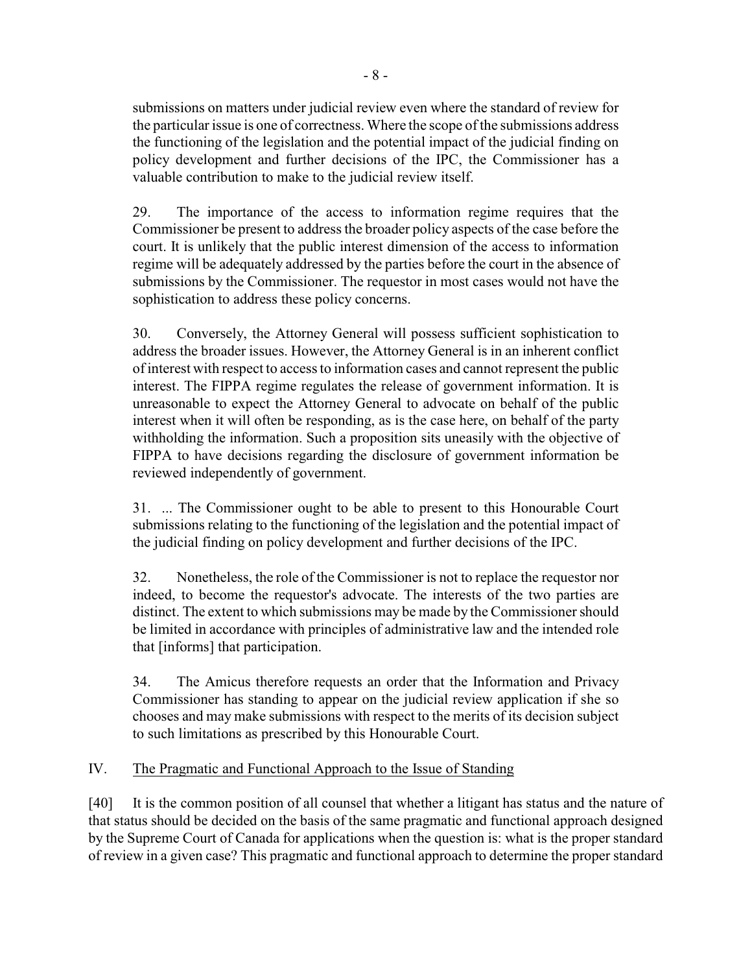submissions on matters under judicial review even where the standard of review for the particular issue is one of correctness. Where the scope ofthe submissions address the functioning of the legislation and the potential impact of the judicial finding on policy development and further decisions of the IPC, the Commissioner has a valuable contribution to make to the judicial review itself.

29. The importance of the access to information regime requires that the Commissioner be present to address the broader policy aspects of the case before the court. It is unlikely that the public interest dimension of the access to information regime will be adequately addressed by the parties before the court in the absence of submissions by the Commissioner. The requestor in most cases would not have the sophistication to address these policy concerns.

30. Conversely, the Attorney General will possess sufficient sophistication to address the broader issues. However, the Attorney General is in an inherent conflict ofinterest with respect to access to information cases and cannot represent the public interest. The FIPPA regime regulates the release of government information. It is unreasonable to expect the Attorney General to advocate on behalf of the public interest when it will often be responding, as is the case here, on behalf of the party withholding the information. Such a proposition sits uneasily with the objective of FIPPA to have decisions regarding the disclosure of government information be reviewed independently of government.

31. ... The Commissioner ought to be able to present to this Honourable Court submissions relating to the functioning of the legislation and the potential impact of the judicial finding on policy development and further decisions of the IPC.

32. Nonetheless, the role of the Commissioner is not to replace the requestor nor indeed, to become the requestor's advocate. The interests of the two parties are distinct. The extent to which submissions may be made by the Commissioner should be limited in accordance with principles of administrative law and the intended role that [informs] that participation.

34. The Amicus therefore requests an order that the Information and Privacy Commissioner has standing to appear on the judicial review application if she so chooses and may make submissions with respect to the merits of its decision subject to such limitations as prescribed by this Honourable Court.

### IV. The Pragmatic and Functional Approach to the Issue of Standing

[40] It is the common position of all counsel that whether a litigant has status and the nature of that status should be decided on the basis of the same pragmatic and functional approach designed by the Supreme Court of Canada for applications when the question is: what is the proper standard of review in a given case? This pragmatic and functional approach to determine the proper standard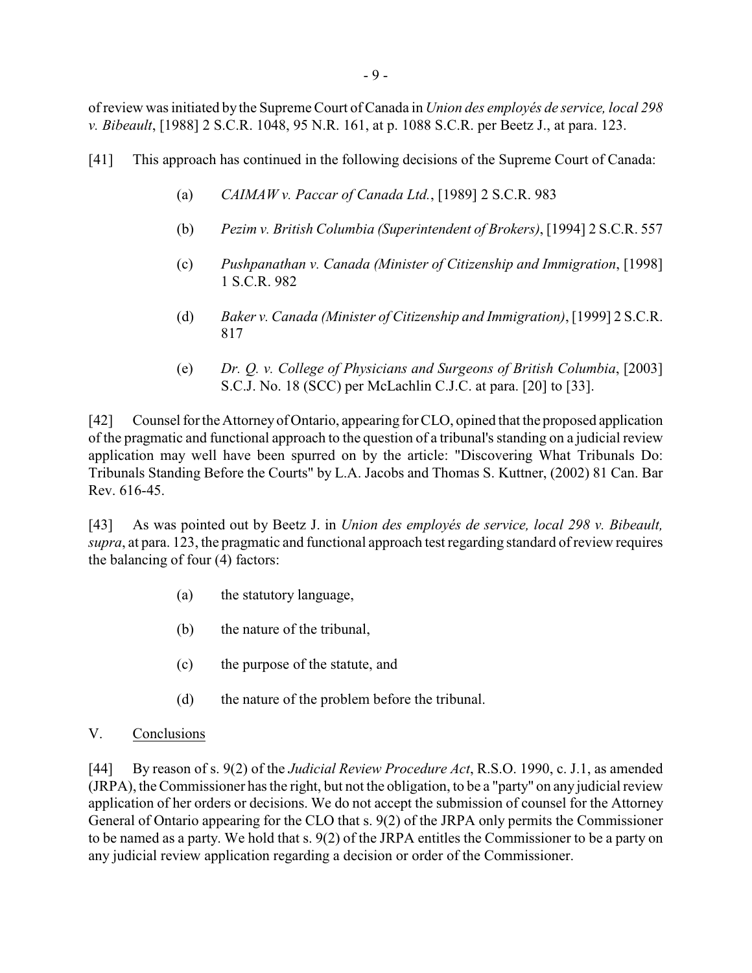of review was initiated by the Supreme Court of Canada in *Union des employés de service, local 298 v. Bibeault*, [1988] 2 S.C.R. 1048, 95 N.R. 161, at p. 1088 S.C.R. per Beetz J., at para. 123.

[41] This approach has continued in the following decisions of the Supreme Court of Canada:

- (a) *CAIMAW v. Paccar of Canada Ltd.*, [1989] 2 S.C.R. 983
- (b) *Pezim v. British Columbia (Superintendent of Brokers)*, [1994] 2 S.C.R. 557
- (c) *Pushpanathan v. Canada (Minister of Citizenship and Immigration*, [1998] 1 S.C.R. 982
- (d) *Baker v. Canada (Minister of Citizenship and Immigration)*, [1999] 2 S.C.R. 817
- (e) *Dr. Q. v. College of Physicians and Surgeons of British Columbia*, [2003] S.C.J. No. 18 (SCC) per McLachlin C.J.C. at para. [20] to [33].

[42] Counsel for the Attorney of Ontario, appearing for CLO, opined that the proposed application of the pragmatic and functional approach to the question of a tribunal's standing on a judicial review application may well have been spurred on by the article: "Discovering What Tribunals Do: Tribunals Standing Before the Courts" by L.A. Jacobs and Thomas S. Kuttner, (2002) 81 Can. Bar Rev. 616-45.

[43] As was pointed out by Beetz J. in *Union des employés de service, local 298 v. Bibeault, supra*, at para. 123, the pragmatic and functional approach test regarding standard of review requires the balancing of four (4) factors:

- (a) the statutory language,
- (b) the nature of the tribunal,
- (c) the purpose of the statute, and
- (d) the nature of the problem before the tribunal.
- V. Conclusions

[44] By reason of s. 9(2) of the *Judicial Review Procedure Act*, R.S.O. 1990, c. J.1, as amended (JRPA), the Commissioner has the right, but not the obligation, to be a "party" on any judicial review application of her orders or decisions. We do not accept the submission of counsel for the Attorney General of Ontario appearing for the CLO that s. 9(2) of the JRPA only permits the Commissioner to be named as a party. We hold that s. 9(2) of the JRPA entitles the Commissioner to be a party on any judicial review application regarding a decision or order of the Commissioner.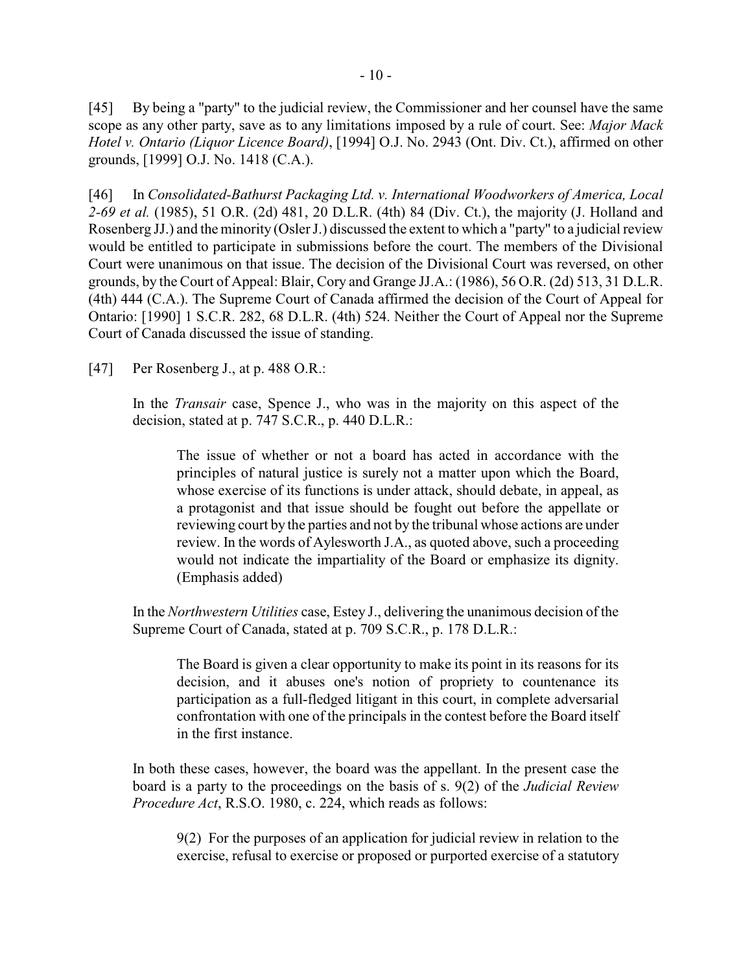[45] By being a "party" to the judicial review, the Commissioner and her counsel have the same scope as any other party, save as to any limitations imposed by a rule of court. See: *Major Mack Hotel v. Ontario (Liquor Licence Board)*, [1994] O.J. No. 2943 (Ont. Div. Ct.), affirmed on other grounds, [1999] O.J. No. 1418 (C.A.).

[46] In *Consolidated-Bathurst Packaging Ltd. v. International Woodworkers of America, Local 2-69 et al.* (1985), 51 O.R. (2d) 481, 20 D.L.R. (4th) 84 (Div. Ct.), the majority (J. Holland and Rosenberg JJ.) and the minority (Osler J.) discussed the extent to which a "party" to a judicial review would be entitled to participate in submissions before the court. The members of the Divisional Court were unanimous on that issue. The decision of the Divisional Court was reversed, on other grounds, by the Court of Appeal: Blair, Cory and Grange JJ.A.: (1986), 56 O.R. (2d) 513, 31 D.L.R. (4th) 444 (C.A.). The Supreme Court of Canada affirmed the decision of the Court of Appeal for Ontario: [1990] 1 S.C.R. 282, 68 D.L.R. (4th) 524. Neither the Court of Appeal nor the Supreme Court of Canada discussed the issue of standing.

[47] Per Rosenberg J., at p. 488 O.R.:

In the *Transair* case, Spence J., who was in the majority on this aspect of the decision, stated at p. 747 S.C.R., p. 440 D.L.R.:

The issue of whether or not a board has acted in accordance with the principles of natural justice is surely not a matter upon which the Board, whose exercise of its functions is under attack, should debate, in appeal, as a protagonist and that issue should be fought out before the appellate or reviewing court by the parties and not by the tribunal whose actions are under review. In the words of Aylesworth J.A., as quoted above, such a proceeding would not indicate the impartiality of the Board or emphasize its dignity. (Emphasis added)

In the *Northwestern Utilities* case, Estey J., delivering the unanimous decision of the Supreme Court of Canada, stated at p. 709 S.C.R., p. 178 D.L.R.:

The Board is given a clear opportunity to make its point in its reasons for its decision, and it abuses one's notion of propriety to countenance its participation as a full-fledged litigant in this court, in complete adversarial confrontation with one of the principals in the contest before the Board itself in the first instance.

In both these cases, however, the board was the appellant. In the present case the board is a party to the proceedings on the basis of s. 9(2) of the *Judicial Review Procedure Act*, R.S.O. 1980, c. 224, which reads as follows:

9(2) For the purposes of an application for judicial review in relation to the exercise, refusal to exercise or proposed or purported exercise of a statutory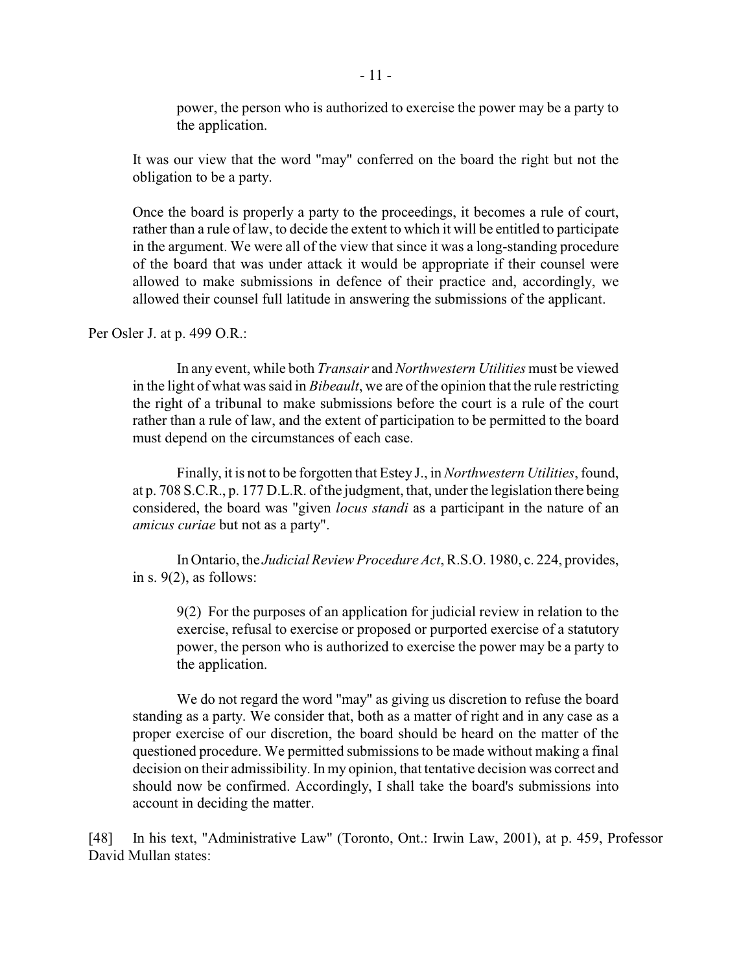power, the person who is authorized to exercise the power may be a party to the application.

It was our view that the word "may" conferred on the board the right but not the obligation to be a party.

Once the board is properly a party to the proceedings, it becomes a rule of court, rather than a rule of law, to decide the extent to which it will be entitled to participate in the argument. We were all of the view that since it was a long-standing procedure of the board that was under attack it would be appropriate if their counsel were allowed to make submissions in defence of their practice and, accordingly, we allowed their counsel full latitude in answering the submissions of the applicant.

Per Osler J. at p. 499 O.R.:

In any event, while both *Transair* and *Northwestern Utilities* must be viewed in the light of what was said in *Bibeault*, we are of the opinion that the rule restricting the right of a tribunal to make submissions before the court is a rule of the court rather than a rule of law, and the extent of participation to be permitted to the board must depend on the circumstances of each case.

Finally, it is not to be forgotten that Estey J., in *Northwestern Utilities*, found, at p. 708 S.C.R., p. 177 D.L.R. of the judgment, that, under the legislation there being considered, the board was "given *locus standi* as a participant in the nature of an *amicus curiae* but not as a party".

In Ontario, the *Judicial Review Procedure Act*, R.S.O. 1980, c. 224, provides, in s. 9(2), as follows:

9(2) For the purposes of an application for judicial review in relation to the exercise, refusal to exercise or proposed or purported exercise of a statutory power, the person who is authorized to exercise the power may be a party to the application.

We do not regard the word "may" as giving us discretion to refuse the board standing as a party. We consider that, both as a matter of right and in any case as a proper exercise of our discretion, the board should be heard on the matter of the questioned procedure. We permitted submissions to be made without making a final decision on their admissibility. In my opinion, that tentative decision was correct and should now be confirmed. Accordingly, I shall take the board's submissions into account in deciding the matter.

[48] In his text, "Administrative Law" (Toronto, Ont.: Irwin Law, 2001), at p. 459, Professor David Mullan states: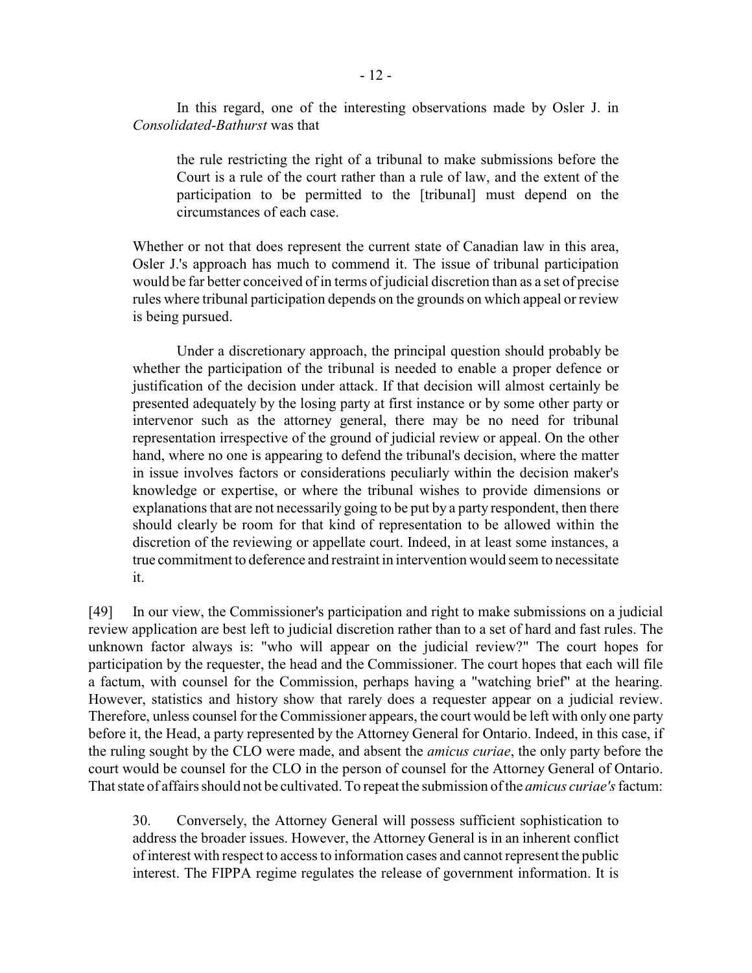In this regard, one of the interesting observations made by Osler J. in *Consolidated-Bathurst* was that

the rule restricting the right of a tribunal to make submissions before the Court is a rule of the court rather than a rule of law, and the extent of the participation to be permitted to the [tribunal] must depend on the circumstances of each case.

Whether or not that does represent the current state of Canadian law in this area, Osler J.'s approach has much to commend it. The issue of tribunal participation would be far better conceived of in terms of judicial discretion than as a set of precise rules where tribunal participation depends on the grounds on which appeal or review is being pursued.

Under a discretionary approach, the principal question should probably be whether the participation of the tribunal is needed to enable a proper defence or justification of the decision under attack. If that decision will almost certainly be presented adequately by the losing party at first instance or by some other party or intervenor such as the attorney general, there may be no need for tribunal representation irrespective of the ground of judicial review or appeal. On the other hand, where no one is appearing to defend the tribunal's decision, where the matter in issue involves factors or considerations peculiarly within the decision maker's knowledge or expertise, or where the tribunal wishes to provide dimensions or explanations that are not necessarily going to be put by a party respondent, then there should clearly be room for that kind of representation to be allowed within the discretion of the reviewing or appellate court. Indeed, in at least some instances, a true commitment to deference and restraint in intervention would seem to necessitate it.

[49] In our view, the Commissioner's participation and right to make submissions on a judicial review application are best left to judicial discretion rather than to a set of hard and fast rules. The unknown factor always is: "who will appear on the judicial review?" The court hopes for participation by the requester, the head and the Commissioner. The court hopes that each will file a factum, with counsel for the Commission, perhaps having a "watching brief" at the hearing. However, statistics and history show that rarely does a requester appear on a judicial review. Therefore, unless counsel for the Commissioner appears, the court would be left with only one party before it, the Head, a party represented by the Attorney General for Ontario. Indeed, in this case, if the ruling sought by the CLO were made, and absent the *amicus curiae*, the only party before the court would be counsel for the CLO in the person of counsel for the Attorney General of Ontario. That state of affairs should not be cultivated. To repeat the submission of the *amicus curiae's* factum:

30. Conversely, the Attorney General will possess sufficient sophistication to address the broader issues. However, the Attorney General is in an inherent conflict of interest with respect to access to information cases and cannot represent the public interest. The FIPPA regime regulates the release of government information. It is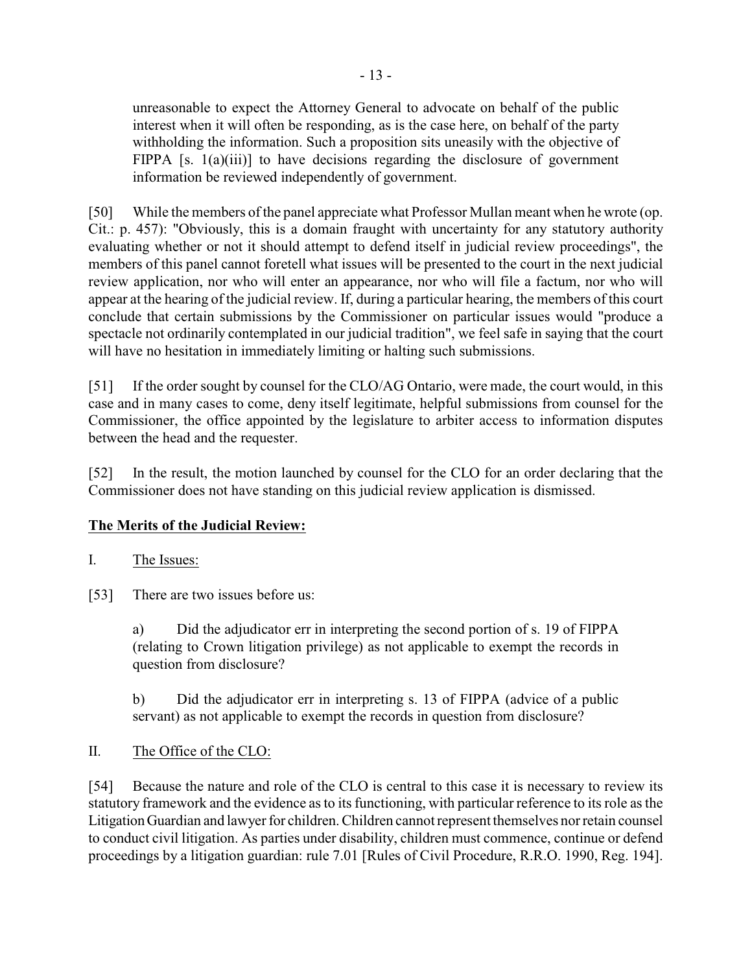unreasonable to expect the Attorney General to advocate on behalf of the public interest when it will often be responding, as is the case here, on behalf of the party withholding the information. Such a proposition sits uneasily with the objective of FIPPA [s. 1(a)(iii)] to have decisions regarding the disclosure of government information be reviewed independently of government.

[50] While the members of the panel appreciate what Professor Mullan meant when he wrote (op. Cit.: p. 457): "Obviously, this is a domain fraught with uncertainty for any statutory authority evaluating whether or not it should attempt to defend itself in judicial review proceedings", the members of this panel cannot foretell what issues will be presented to the court in the next judicial review application, nor who will enter an appearance, nor who will file a factum, nor who will appear at the hearing of the judicial review. If, during a particular hearing, the members of this court conclude that certain submissions by the Commissioner on particular issues would "produce a spectacle not ordinarily contemplated in our judicial tradition", we feel safe in saying that the court will have no hesitation in immediately limiting or halting such submissions.

[51] If the order sought by counsel for the CLO/AG Ontario, were made, the court would, in this case and in many cases to come, deny itself legitimate, helpful submissions from counsel for the Commissioner, the office appointed by the legislature to arbiter access to information disputes between the head and the requester.

[52] In the result, the motion launched by counsel for the CLO for an order declaring that the Commissioner does not have standing on this judicial review application is dismissed.

# **The Merits of the Judicial Review:**

- I. The Issues:
- [53] There are two issues before us:

a) Did the adjudicator err in interpreting the second portion of s. 19 of FIPPA (relating to Crown litigation privilege) as not applicable to exempt the records in question from disclosure?

b) Did the adjudicator err in interpreting s. 13 of FIPPA (advice of a public servant) as not applicable to exempt the records in question from disclosure?

II. The Office of the CLO:

[54] Because the nature and role of the CLO is central to this case it is necessary to review its statutory framework and the evidence as to its functioning, with particular reference to its role as the Litigation Guardian and lawyer for children. Children cannot represent themselves nor retain counsel to conduct civil litigation. As parties under disability, children must commence, continue or defend proceedings by a litigation guardian: rule 7.01 [Rules of Civil Procedure, R.R.O. 1990, Reg. 194].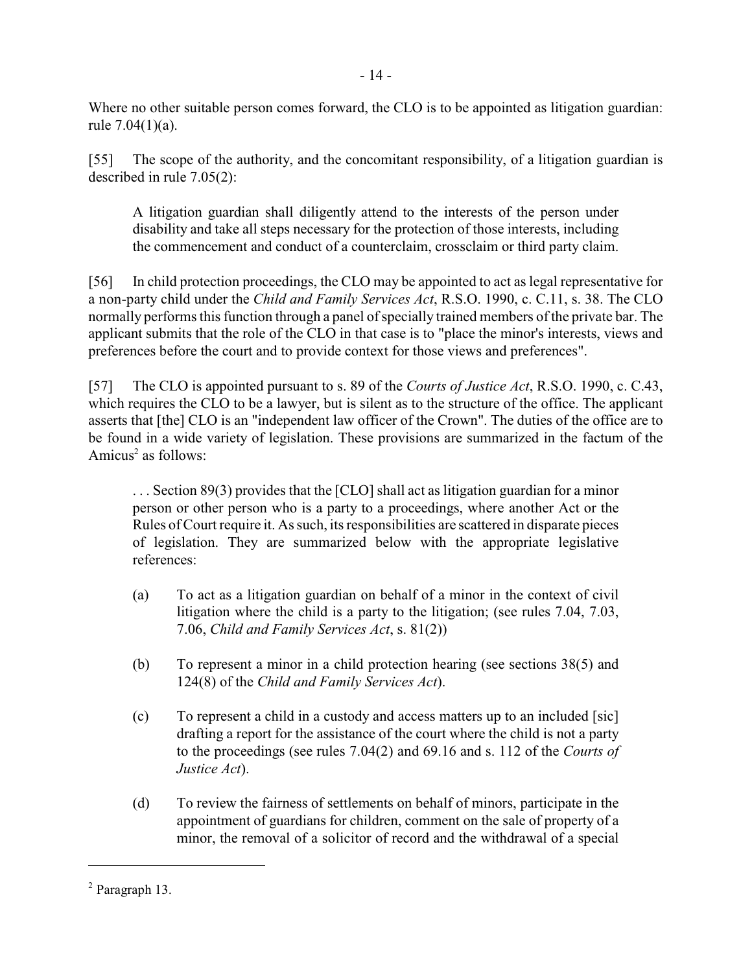Where no other suitable person comes forward, the CLO is to be appointed as litigation guardian: rule 7.04(1)(a).

[55] The scope of the authority, and the concomitant responsibility, of a litigation guardian is described in rule 7.05(2):

A litigation guardian shall diligently attend to the interests of the person under disability and take all steps necessary for the protection of those interests, including the commencement and conduct of a counterclaim, crossclaim or third party claim.

[56] In child protection proceedings, the CLO may be appointed to act as legal representative for a non-party child under the *Child and Family Services Act*, R.S.O. 1990, c. C.11, s. 38. The CLO normally performs this function through a panel of specially trained members of the private bar. The applicant submits that the role of the CLO in that case is to "place the minor's interests, views and preferences before the court and to provide context for those views and preferences".

[57] The CLO is appointed pursuant to s. 89 of the *Courts of Justice Act*, R.S.O. 1990, c. C.43, which requires the CLO to be a lawyer, but is silent as to the structure of the office. The applicant asserts that [the] CLO is an "independent law officer of the Crown". The duties of the office are to be found in a wide variety of legislation. These provisions are summarized in the factum of the Amicus<sup>2</sup> as follows:

. . . Section 89(3) provides that the [CLO] shall act as litigation guardian for a minor person or other person who is a party to a proceedings, where another Act or the Rules of Court require it. As such, its responsibilities are scattered in disparate pieces of legislation. They are summarized below with the appropriate legislative references:

- (a) To act as a litigation guardian on behalf of a minor in the context of civil litigation where the child is a party to the litigation; (see rules 7.04, 7.03, 7.06, *Child and Family Services Act*, s. 81(2))
- (b) To represent a minor in a child protection hearing (see sections 38(5) and 124(8) of the *Child and Family Services Act*).
- (c) To represent a child in a custody and access matters up to an included [sic] drafting a report for the assistance of the court where the child is not a party to the proceedings (see rules 7.04(2) and 69.16 and s. 112 of the *Courts of Justice Act*).
- (d) To review the fairness of settlements on behalf of minors, participate in the appointment of guardians for children, comment on the sale of property of a minor, the removal of a solicitor of record and the withdrawal of a special

 $<sup>2</sup>$  Paragraph 13.</sup>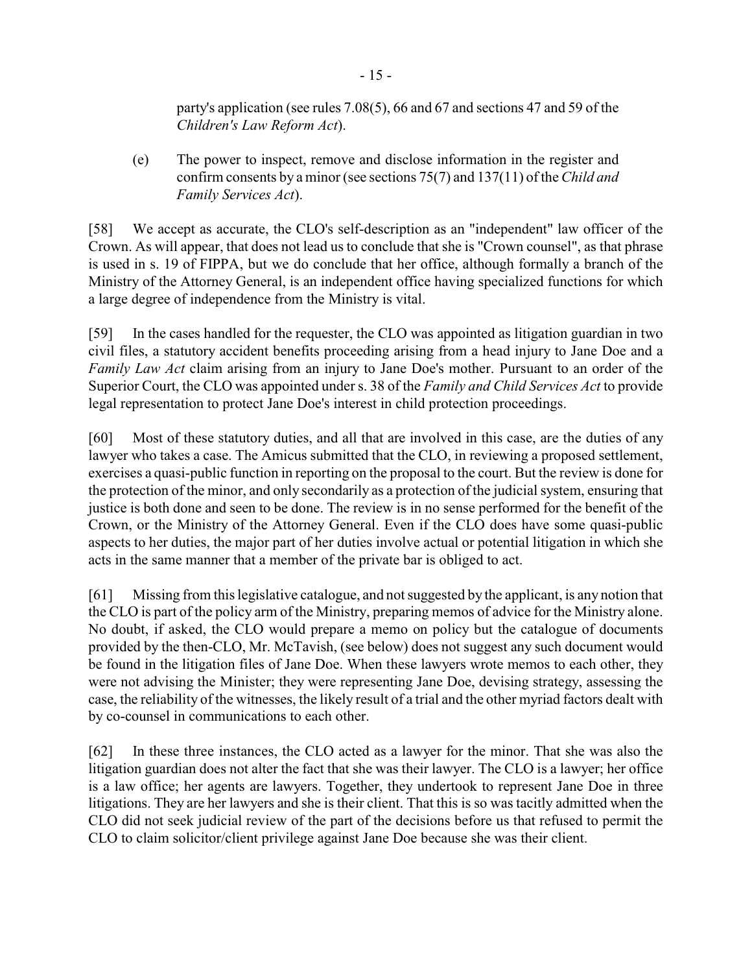party's application (see rules 7.08(5), 66 and 67 and sections 47 and 59 of the *Children's Law Reform Act*).

(e) The power to inspect, remove and disclose information in the register and confirm consents by a minor (see sections 75(7) and 137(11) of the *Child and Family Services Act*).

[58] We accept as accurate, the CLO's self-description as an "independent" law officer of the Crown. As will appear, that does not lead us to conclude that she is "Crown counsel", as that phrase is used in s. 19 of FIPPA, but we do conclude that her office, although formally a branch of the Ministry of the Attorney General, is an independent office having specialized functions for which a large degree of independence from the Ministry is vital.

[59] In the cases handled for the requester, the CLO was appointed as litigation guardian in two civil files, a statutory accident benefits proceeding arising from a head injury to Jane Doe and a *Family Law Act* claim arising from an injury to Jane Doe's mother. Pursuant to an order of the Superior Court, the CLO was appointed under s. 38 of the *Family and Child Services Act* to provide legal representation to protect Jane Doe's interest in child protection proceedings.

[60] Most of these statutory duties, and all that are involved in this case, are the duties of any lawyer who takes a case. The Amicus submitted that the CLO, in reviewing a proposed settlement, exercises a quasi-public function in reporting on the proposal to the court. But the review is done for the protection of the minor, and only secondarily as a protection of the judicial system, ensuring that justice is both done and seen to be done. The review is in no sense performed for the benefit of the Crown, or the Ministry of the Attorney General. Even if the CLO does have some quasi-public aspects to her duties, the major part of her duties involve actual or potential litigation in which she acts in the same manner that a member of the private bar is obliged to act.

[61] Missing from this legislative catalogue, and not suggested by the applicant, is any notion that the CLO is part of the policy arm of the Ministry, preparing memos of advice for the Ministry alone. No doubt, if asked, the CLO would prepare a memo on policy but the catalogue of documents provided by the then-CLO, Mr. McTavish, (see below) does not suggest any such document would be found in the litigation files of Jane Doe. When these lawyers wrote memos to each other, they were not advising the Minister; they were representing Jane Doe, devising strategy, assessing the case, the reliability of the witnesses, the likely result of a trial and the other myriad factors dealt with by co-counsel in communications to each other.

[62] In these three instances, the CLO acted as a lawyer for the minor. That she was also the litigation guardian does not alter the fact that she was their lawyer. The CLO is a lawyer; her office is a law office; her agents are lawyers. Together, they undertook to represent Jane Doe in three litigations. They are her lawyers and she is their client. That this is so was tacitly admitted when the CLO did not seek judicial review of the part of the decisions before us that refused to permit the CLO to claim solicitor/client privilege against Jane Doe because she was their client.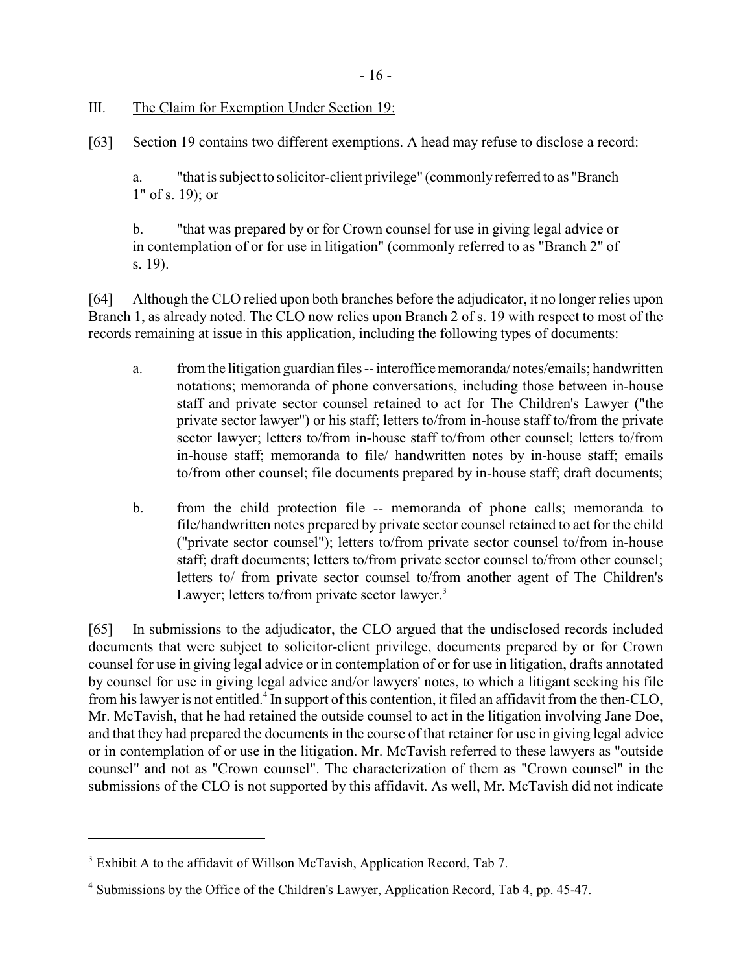### III. The Claim for Exemption Under Section 19:

[63] Section 19 contains two different exemptions. A head may refuse to disclose a record:

a. "that is subject to solicitor-client privilege" (commonly referred to as "Branch 1" of s. 19); or

b. "that was prepared by or for Crown counsel for use in giving legal advice or in contemplation of or for use in litigation" (commonly referred to as "Branch 2" of s. 19).

[64] Although the CLO relied upon both branches before the adjudicator, it no longer relies upon Branch 1, as already noted. The CLO now relies upon Branch 2 of s. 19 with respect to most of the records remaining at issue in this application, including the following types of documents:

- a. from the litigation guardian files -- interoffice memoranda/ notes/emails; handwritten notations; memoranda of phone conversations, including those between in-house staff and private sector counsel retained to act for The Children's Lawyer ("the private sector lawyer") or his staff; letters to/from in-house staff to/from the private sector lawyer; letters to/from in-house staff to/from other counsel; letters to/from in-house staff; memoranda to file/ handwritten notes by in-house staff; emails to/from other counsel; file documents prepared by in-house staff; draft documents;
- b. from the child protection file -- memoranda of phone calls; memoranda to file/handwritten notes prepared by private sector counsel retained to act for the child ("private sector counsel"); letters to/from private sector counsel to/from in-house staff; draft documents; letters to/from private sector counsel to/from other counsel; letters to/ from private sector counsel to/from another agent of The Children's Lawyer; letters to/from private sector lawyer.<sup>3</sup>

[65] In submissions to the adjudicator, the CLO argued that the undisclosed records included documents that were subject to solicitor-client privilege, documents prepared by or for Crown counsel for use in giving legal advice or in contemplation of or for use in litigation, drafts annotated by counsel for use in giving legal advice and/or lawyers' notes, to which a litigant seeking his file from his lawyer is not entitled.<sup>4</sup> In support of this contention, it filed an affidavit from the then-CLO, Mr. McTavish, that he had retained the outside counsel to act in the litigation involving Jane Doe, and that they had prepared the documents in the course of that retainer for use in giving legal advice or in contemplation of or use in the litigation. Mr. McTavish referred to these lawyers as "outside counsel" and not as "Crown counsel". The characterization of them as "Crown counsel" in the submissions of the CLO is not supported by this affidavit. As well, Mr. McTavish did not indicate

 $3$  Exhibit A to the affidavit of Willson McTavish, Application Record, Tab 7.

<sup>&</sup>lt;sup>4</sup> Submissions by the Office of the Children's Lawyer, Application Record, Tab 4, pp. 45-47.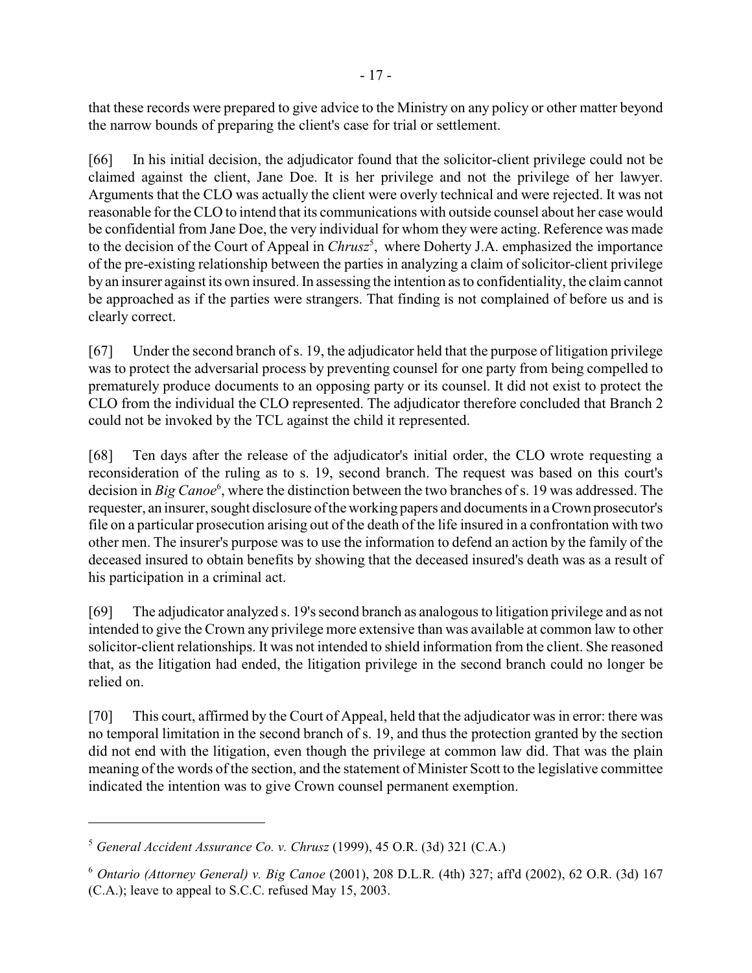that these records were prepared to give advice to the Ministry on any policy or other matter beyond the narrow bounds of preparing the client's case for trial or settlement.

[66] In his initial decision, the adjudicator found that the solicitor-client privilege could not be claimed against the client, Jane Doe. It is her privilege and not the privilege of her lawyer. Arguments that the CLO was actually the client were overly technical and were rejected. It was not reasonable for theCLO to intend that its communications with outside counsel about her case would be confidential from Jane Doe, the very individual for whom they were acting. Reference was made to the decision of the Court of Appeal in *Chrusz*<sup>5</sup>, where Doherty J.A. emphasized the importance of the pre-existing relationship between the parties in analyzing a claim of solicitor-client privilege by an insurer against its own insured. In assessing the intention as to confidentiality, the claim cannot be approached as if the parties were strangers. That finding is not complained of before us and is clearly correct.

[67] Under the second branch of s. 19, the adjudicator held that the purpose of litigation privilege was to protect the adversarial process by preventing counsel for one party from being compelled to prematurely produce documents to an opposing party or its counsel. It did not exist to protect the CLO from the individual the CLO represented. The adjudicator therefore concluded that Branch 2 could not be invoked by the TCL against the child it represented.

[68] Ten days after the release of the adjudicator's initial order, the CLO wrote requesting a reconsideration of the ruling as to s. 19, second branch. The request was based on this court's decision in *Big Canoe*<sup>6</sup>, where the distinction between the two branches of s. 19 was addressed. The requester, an insurer, sought disclosure of the working papers and documents in a Crown prosecutor's file on a particular prosecution arising out of the death of the life insured in a confrontation with two other men. The insurer's purpose was to use the information to defend an action by the family of the deceased insured to obtain benefits by showing that the deceased insured's death was as a result of his participation in a criminal act.

[69] The adjudicator analyzed s. 19's second branch as analogous to litigation privilege and as not intended to give the Crown any privilege more extensive than was available at common law to other solicitor-client relationships. It was not intended to shield information from the client. She reasoned that, as the litigation had ended, the litigation privilege in the second branch could no longer be relied on.

[70] This court, affirmed by the Court of Appeal, held that the adjudicator was in error: there was no temporal limitation in the second branch of s. 19, and thus the protection granted by the section did not end with the litigation, even though the privilege at common law did. That was the plain meaning of the words of the section, and the statement of Minister Scott to the legislative committee indicated the intention was to give Crown counsel permanent exemption.

<sup>&</sup>lt;sup>5</sup> General Accident Assurance Co. v. Chrusz (1999), 45 O.R. (3d) 321 (C.A.)

*Ontario (Attorney General) v. Big Canoe* (2001), 208 D.L.R. (4th) 327; aff'd (2002), 62 O.R. (3d) 167 <sup>6</sup> (C.A.); leave to appeal to S.C.C. refused May 15, 2003.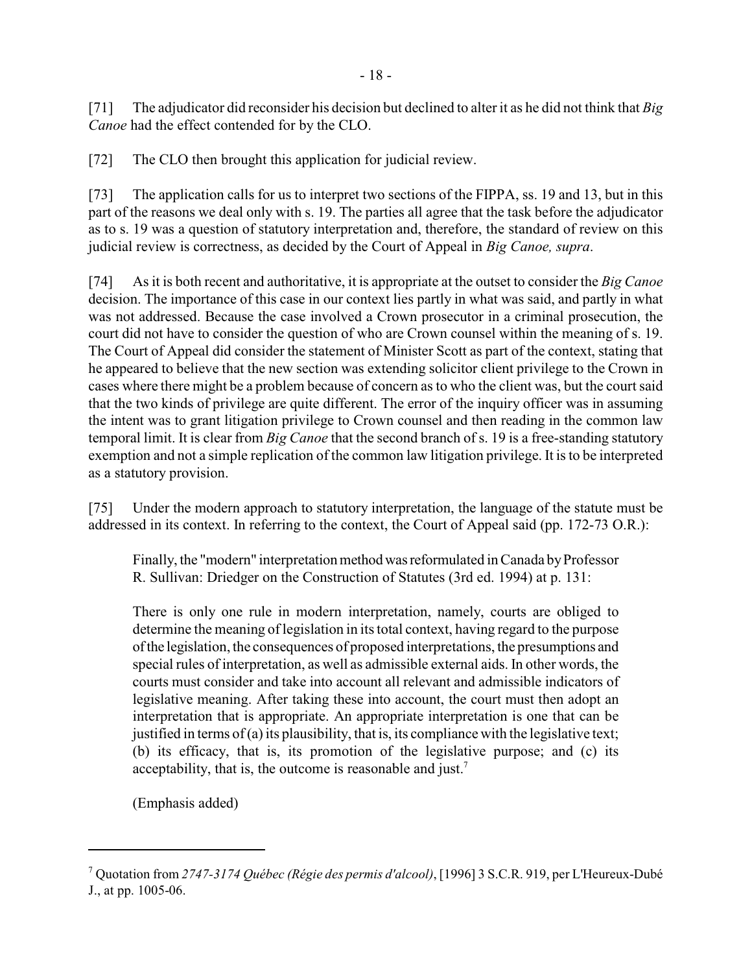[71] The adjudicator did reconsider his decision but declined to alter it as he did not think that *Big Canoe* had the effect contended for by the CLO.

[72] The CLO then brought this application for judicial review.

[73] The application calls for us to interpret two sections of the FIPPA, ss. 19 and 13, but in this part of the reasons we deal only with s. 19. The parties all agree that the task before the adjudicator as to s. 19 was a question of statutory interpretation and, therefore, the standard of review on this judicial review is correctness, as decided by the Court of Appeal in *Big Canoe, supra*.

[74] As it is both recent and authoritative, it is appropriate at the outset to consider the *Big Canoe* decision. The importance of this case in our context lies partly in what was said, and partly in what was not addressed. Because the case involved a Crown prosecutor in a criminal prosecution, the court did not have to consider the question of who are Crown counsel within the meaning of s. 19. The Court of Appeal did consider the statement of Minister Scott as part of the context, stating that he appeared to believe that the new section was extending solicitor client privilege to the Crown in cases where there might be a problem because of concern as to who the client was, but the court said that the two kinds of privilege are quite different. The error of the inquiry officer was in assuming the intent was to grant litigation privilege to Crown counsel and then reading in the common law temporal limit. It is clear from *Big Canoe* that the second branch of s. 19 is a free-standing statutory exemption and not a simple replication of the common law litigation privilege. It is to be interpreted as a statutory provision.

[75] Under the modern approach to statutory interpretation, the language of the statute must be addressed in its context. In referring to the context, the Court of Appeal said (pp. 172-73 O.R.):

Finally, the "modern" interpretation method was reformulated in Canada by Professor R. Sullivan: Driedger on the Construction of Statutes (3rd ed. 1994) at p. 131:

There is only one rule in modern interpretation, namely, courts are obliged to determine the meaning of legislation in its total context, having regard to the purpose of the legislation, the consequences of proposed interpretations, the presumptions and special rules of interpretation, as well as admissible external aids. In other words, the courts must consider and take into account all relevant and admissible indicators of legislative meaning. After taking these into account, the court must then adopt an interpretation that is appropriate. An appropriate interpretation is one that can be justified in terms of (a) its plausibility, that is, its compliance with the legislative text; (b) its efficacy, that is, its promotion of the legislative purpose; and (c) its acceptability, that is, the outcome is reasonable and just.<sup>7</sup>

(Emphasis added)

Quotation from *2747-3174 Québec (Régie des permis d'alcool)*, [1996] 3 S.C.R. 919, per L'Heureux-Dubé 7 J., at pp. 1005-06.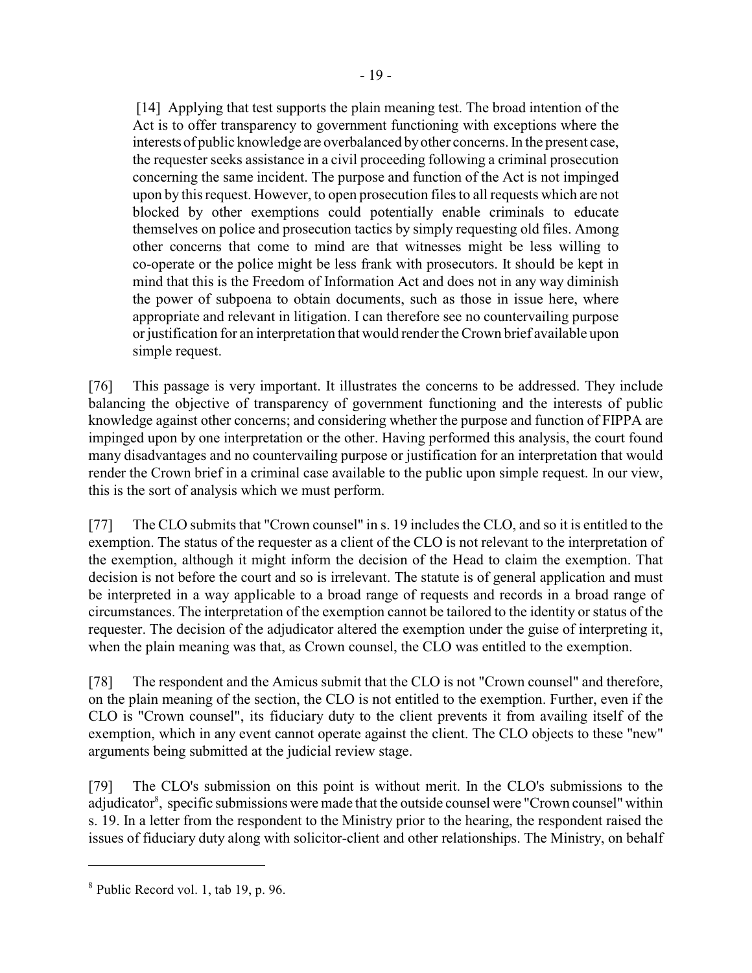[14] Applying that test supports the plain meaning test. The broad intention of the Act is to offer transparency to government functioning with exceptions where the interests of public knowledge are overbalanced by other concerns. In the present case, the requester seeks assistance in a civil proceeding following a criminal prosecution concerning the same incident. The purpose and function of the Act is not impinged upon by this request. However, to open prosecution files to all requests which are not blocked by other exemptions could potentially enable criminals to educate themselves on police and prosecution tactics by simply requesting old files. Among other concerns that come to mind are that witnesses might be less willing to co-operate or the police might be less frank with prosecutors. It should be kept in mind that this is the Freedom of Information Act and does not in any way diminish the power of subpoena to obtain documents, such as those in issue here, where appropriate and relevant in litigation. I can therefore see no countervailing purpose or justification for an interpretation that would render the Crown brief available upon simple request.

[76] This passage is very important. It illustrates the concerns to be addressed. They include balancing the objective of transparency of government functioning and the interests of public knowledge against other concerns; and considering whether the purpose and function of FIPPA are impinged upon by one interpretation or the other. Having performed this analysis, the court found many disadvantages and no countervailing purpose or justification for an interpretation that would render the Crown brief in a criminal case available to the public upon simple request. In our view, this is the sort of analysis which we must perform.

[77] The CLO submits that "Crown counsel" in s. 19 includes the CLO, and so it is entitled to the exemption. The status of the requester as a client of the CLO is not relevant to the interpretation of the exemption, although it might inform the decision of the Head to claim the exemption. That decision is not before the court and so is irrelevant. The statute is of general application and must be interpreted in a way applicable to a broad range of requests and records in a broad range of circumstances. The interpretation of the exemption cannot be tailored to the identity or status of the requester. The decision of the adjudicator altered the exemption under the guise of interpreting it, when the plain meaning was that, as Crown counsel, the CLO was entitled to the exemption.

[78] The respondent and the Amicus submit that the CLO is not "Crown counsel" and therefore, on the plain meaning of the section, the CLO is not entitled to the exemption. Further, even if the CLO is "Crown counsel", its fiduciary duty to the client prevents it from availing itself of the exemption, which in any event cannot operate against the client. The CLO objects to these "new" arguments being submitted at the judicial review stage.

[79] The CLO's submission on this point is without merit. In the CLO's submissions to the adjudicator $\delta$ , specific submissions were made that the outside counsel were "Crown counsel" within s. 19. In a letter from the respondent to the Ministry prior to the hearing, the respondent raised the issues of fiduciary duty along with solicitor-client and other relationships. The Ministry, on behalf

 $8$  Public Record vol. 1, tab 19, p. 96.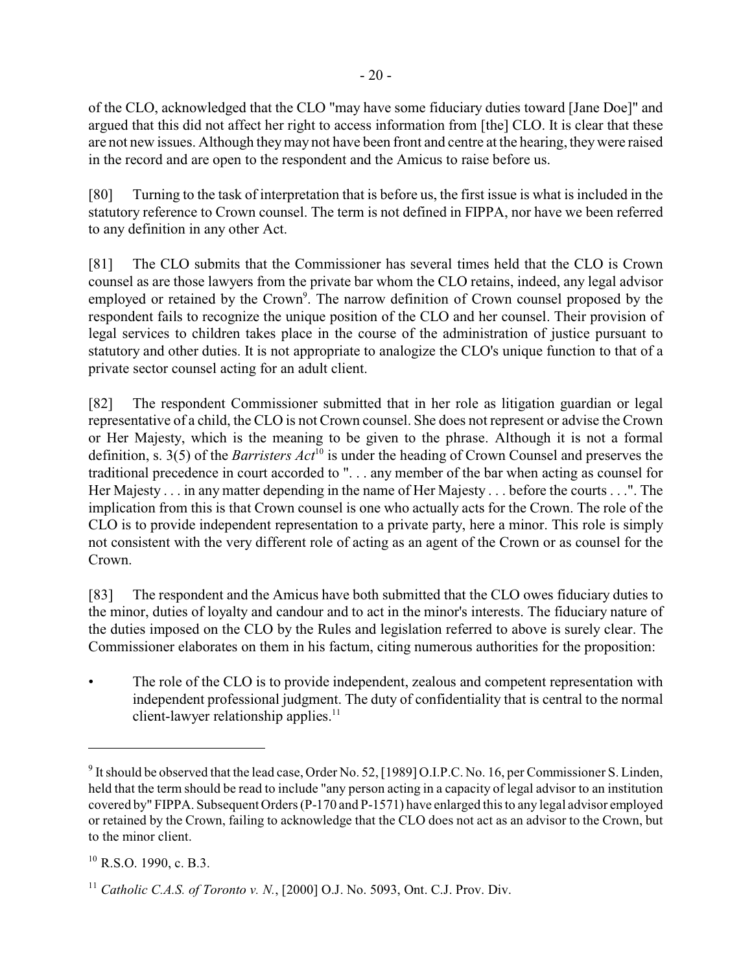of the CLO, acknowledged that the CLO "may have some fiduciary duties toward [Jane Doe]" and argued that this did not affect her right to access information from [the] CLO. It is clear that these are not new issues. Although they may not have been front and centre at the hearing, they were raised in the record and are open to the respondent and the Amicus to raise before us.

[80] Turning to the task of interpretation that is before us, the first issue is what is included in the statutory reference to Crown counsel. The term is not defined in FIPPA, nor have we been referred to any definition in any other Act.

[81] The CLO submits that the Commissioner has several times held that the CLO is Crown counsel as are those lawyers from the private bar whom the CLO retains, indeed, any legal advisor employed or retained by the Crown<sup>9</sup>. The narrow definition of Crown counsel proposed by the respondent fails to recognize the unique position of the CLO and her counsel. Their provision of legal services to children takes place in the course of the administration of justice pursuant to statutory and other duties. It is not appropriate to analogize the CLO's unique function to that of a private sector counsel acting for an adult client.

[82] The respondent Commissioner submitted that in her role as litigation guardian or legal representative of a child, the CLO is not Crown counsel. She does not represent or advise the Crown or Her Majesty, which is the meaning to be given to the phrase. Although it is not a formal definition, s.  $3(5)$  of the *Barristers Act*<sup>10</sup> is under the heading of Crown Counsel and preserves the traditional precedence in court accorded to ". . . any member of the bar when acting as counsel for Her Majesty . . . in any matter depending in the name of Her Majesty . . . before the courts . . .". The implication from this is that Crown counsel is one who actually acts for the Crown. The role of the CLO is to provide independent representation to a private party, here a minor. This role is simply not consistent with the very different role of acting as an agent of the Crown or as counsel for the Crown.

[83] The respondent and the Amicus have both submitted that the CLO owes fiduciary duties to the minor, duties of loyalty and candour and to act in the minor's interests. The fiduciary nature of the duties imposed on the CLO by the Rules and legislation referred to above is surely clear. The Commissioner elaborates on them in his factum, citing numerous authorities for the proposition:

The role of the CLO is to provide independent, zealous and competent representation with independent professional judgment. The duty of confidentiality that is central to the normal client-lawyer relationship applies. $11$ 

<sup>&</sup>lt;sup>9</sup> It should be observed that the lead case, Order No. 52, [1989] O.I.P.C. No. 16, per Commissioner S. Linden, held that the term should be read to include "any person acting in a capacity of legal advisor to an institution covered by" FIPPA. Subsequent Orders (P-170 and P-1571) have enlarged this to any legal advisor employed or retained by the Crown, failing to acknowledge that the CLO does not act as an advisor to the Crown, but to the minor client.

 $^{10}$  R.S.O. 1990, c. B.3.

<sup>&</sup>lt;sup>11</sup> Catholic C.A.S. of Toronto v. N., [2000] O.J. No. 5093, Ont. C.J. Prov. Div.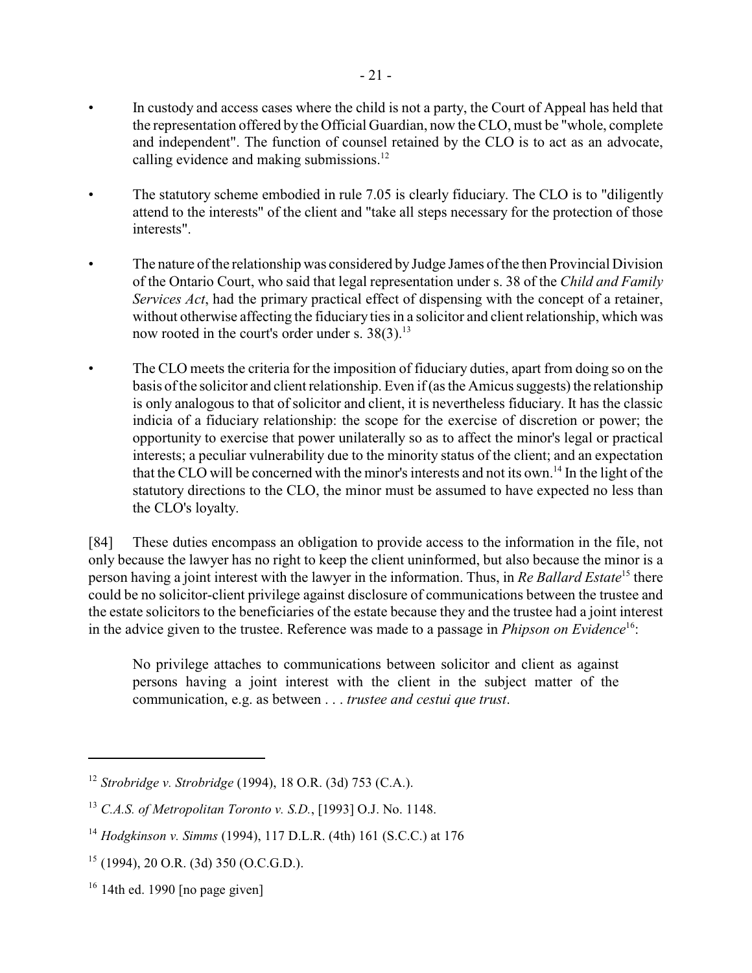- In custody and access cases where the child is not a party, the Court of Appeal has held that the representation offered by the Official Guardian, now theCLO, must be "whole, complete and independent". The function of counsel retained by the CLO is to act as an advocate, calling evidence and making submissions.<sup>12</sup>
- The statutory scheme embodied in rule 7.05 is clearly fiduciary. The CLO is to "diligently attend to the interests" of the client and "take all steps necessary for the protection of those interests".
- The nature of the relationship was considered by Judge James of the then Provincial Division of the Ontario Court, who said that legal representation under s. 38 of the *Child and Family Services Act*, had the primary practical effect of dispensing with the concept of a retainer, without otherwise affecting the fiduciary ties in a solicitor and client relationship, which was now rooted in the court's order under s.  $38(3).^{13}$
- The CLO meets the criteria for the imposition of fiduciary duties, apart from doing so on the basis of the solicitor and client relationship. Even if (as the Amicus suggests) the relationship is only analogous to that of solicitor and client, it is nevertheless fiduciary. It has the classic indicia of a fiduciary relationship: the scope for the exercise of discretion or power; the opportunity to exercise that power unilaterally so as to affect the minor's legal or practical interests; a peculiar vulnerability due to the minority status of the client; and an expectation that the CLO will be concerned with the minor's interests and not its own.<sup>14</sup> In the light of the statutory directions to the CLO, the minor must be assumed to have expected no less than the CLO's loyalty.

[84] These duties encompass an obligation to provide access to the information in the file, not only because the lawyer has no right to keep the client uninformed, but also because the minor is a person having a joint interest with the lawyer in the information. Thus, in *Re Ballard Estate*<sup>15</sup> there could be no solicitor-client privilege against disclosure of communications between the trustee and the estate solicitors to the beneficiaries of the estate because they and the trustee had a joint interest in the advice given to the trustee. Reference was made to a passage in *Phipson on Evidence*<sup>16</sup>:

No privilege attaches to communications between solicitor and client as against persons having a joint interest with the client in the subject matter of the communication, e.g. as between . . . *trustee and cestui que trust*.

<sup>&</sup>lt;sup>12</sup> Strobridge v. Strobridge (1994), 18 O.R. (3d) 753 (C.A.).

<sup>&</sup>lt;sup>13</sup> C.A.S. of Metropolitan Toronto v. S.D., [1993] O.J. No. 1148.

<sup>&</sup>lt;sup>14</sup> Hodgkinson v. Simms (1994), 117 D.L.R. (4th) 161 (S.C.C.) at 176

 $^{15}$  (1994), 20 O.R. (3d) 350 (O.C.G.D.).

<sup>&</sup>lt;sup>16</sup> 14th ed. 1990 [no page given]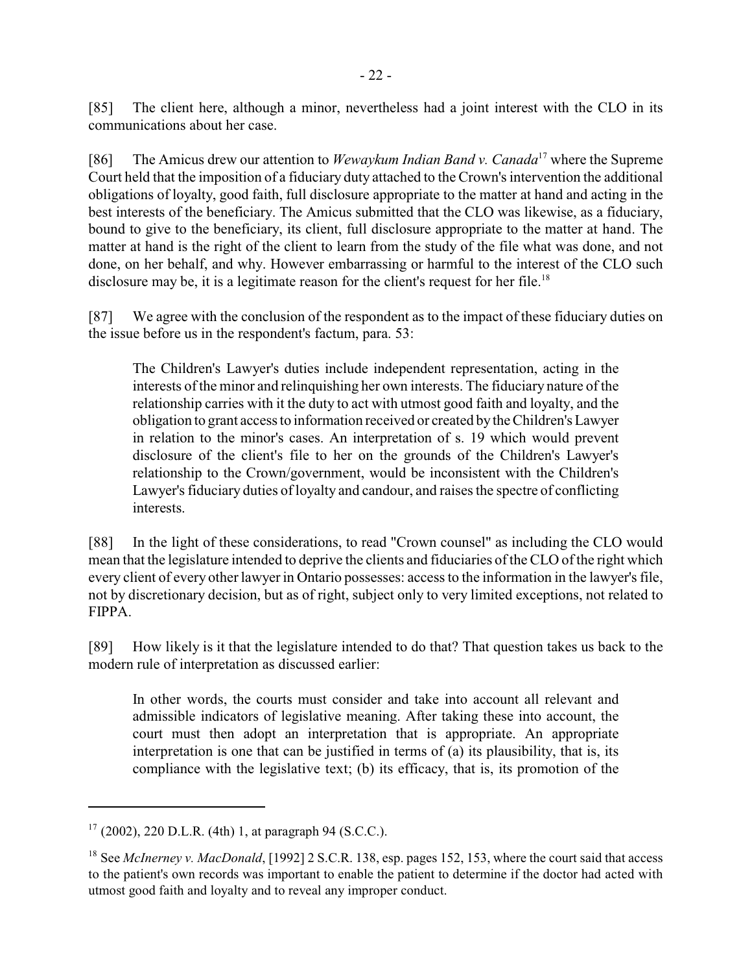[85] The client here, although a minor, nevertheless had a joint interest with the CLO in its communications about her case.

[86] The Amicus drew our attention to *Wewaykum Indian Band v. Canada*<sup>17</sup> where the Supreme Court held that the imposition of a fiduciary duty attached to the Crown's intervention the additional obligations of loyalty, good faith, full disclosure appropriate to the matter at hand and acting in the best interests of the beneficiary. The Amicus submitted that the CLO was likewise, as a fiduciary, bound to give to the beneficiary, its client, full disclosure appropriate to the matter at hand. The matter at hand is the right of the client to learn from the study of the file what was done, and not done, on her behalf, and why. However embarrassing or harmful to the interest of the CLO such disclosure may be, it is a legitimate reason for the client's request for her file.<sup>18</sup>

[87] We agree with the conclusion of the respondent as to the impact of these fiduciary duties on the issue before us in the respondent's factum, para. 53:

The Children's Lawyer's duties include independent representation, acting in the interests of the minor and relinquishing her own interests. The fiduciary nature of the relationship carries with it the duty to act with utmost good faith and loyalty, and the obligation to grant access to information received or created by the Children's Lawyer in relation to the minor's cases. An interpretation of s. 19 which would prevent disclosure of the client's file to her on the grounds of the Children's Lawyer's relationship to the Crown/government, would be inconsistent with the Children's Lawyer's fiduciary duties of loyalty and candour, and raises the spectre of conflicting interests.

[88] In the light of these considerations, to read "Crown counsel" as including the CLO would mean that the legislature intended to deprive the clients and fiduciaries of the CLO of the right which every client of every other lawyer in Ontario possesses: access to the information in the lawyer's file, not by discretionary decision, but as of right, subject only to very limited exceptions, not related to FIPPA.

[89] How likely is it that the legislature intended to do that? That question takes us back to the modern rule of interpretation as discussed earlier:

In other words, the courts must consider and take into account all relevant and admissible indicators of legislative meaning. After taking these into account, the court must then adopt an interpretation that is appropriate. An appropriate interpretation is one that can be justified in terms of (a) its plausibility, that is, its compliance with the legislative text; (b) its efficacy, that is, its promotion of the

 $17$  (2002), 220 D.L.R. (4th) 1, at paragraph 94 (S.C.C.).

<sup>&</sup>lt;sup>18</sup> See *McInerney v. MacDonald*, [1992] 2 S.C.R. 138, esp. pages 152, 153, where the court said that access to the patient's own records was important to enable the patient to determine if the doctor had acted with utmost good faith and loyalty and to reveal any improper conduct.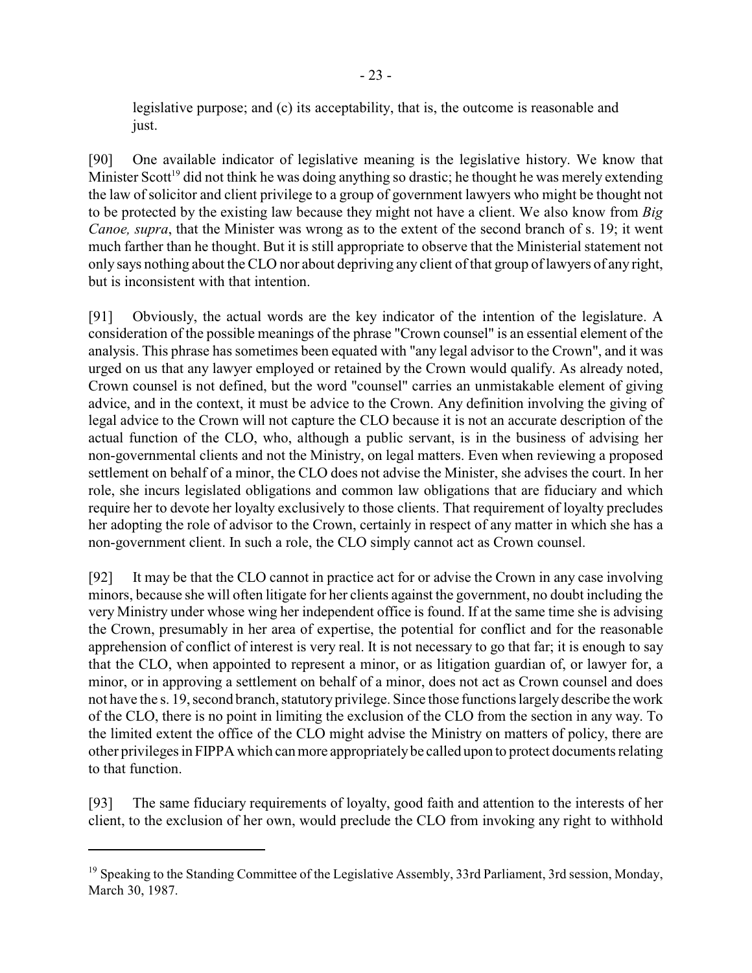legislative purpose; and (c) its acceptability, that is, the outcome is reasonable and just.

[90] One available indicator of legislative meaning is the legislative history. We know that Minister Scott<sup>19</sup> did not think he was doing anything so drastic; he thought he was merely extending the law of solicitor and client privilege to a group of government lawyers who might be thought not to be protected by the existing law because they might not have a client. We also know from *Big Canoe, supra*, that the Minister was wrong as to the extent of the second branch of s. 19; it went much farther than he thought. But it is still appropriate to observe that the Ministerial statement not only says nothing about the CLO nor about depriving any client of that group of lawyers of any right, but is inconsistent with that intention.

[91] Obviously, the actual words are the key indicator of the intention of the legislature. A consideration of the possible meanings of the phrase "Crown counsel" is an essential element of the analysis. This phrase has sometimes been equated with "any legal advisor to the Crown", and it was urged on us that any lawyer employed or retained by the Crown would qualify. As already noted, Crown counsel is not defined, but the word "counsel" carries an unmistakable element of giving advice, and in the context, it must be advice to the Crown. Any definition involving the giving of legal advice to the Crown will not capture the CLO because it is not an accurate description of the actual function of the CLO, who, although a public servant, is in the business of advising her non-governmental clients and not the Ministry, on legal matters. Even when reviewing a proposed settlement on behalf of a minor, the CLO does not advise the Minister, she advises the court. In her role, she incurs legislated obligations and common law obligations that are fiduciary and which require her to devote her loyalty exclusively to those clients. That requirement of loyalty precludes her adopting the role of advisor to the Crown, certainly in respect of any matter in which she has a non-government client. In such a role, the CLO simply cannot act as Crown counsel.

[92] It may be that the CLO cannot in practice act for or advise the Crown in any case involving minors, because she will often litigate for her clients against the government, no doubt including the very Ministry under whose wing her independent office is found. If at the same time she is advising the Crown, presumably in her area of expertise, the potential for conflict and for the reasonable apprehension of conflict of interest is very real. It is not necessary to go that far; it is enough to say that the CLO, when appointed to represent a minor, or as litigation guardian of, or lawyer for, a minor, or in approving a settlement on behalf of a minor, does not act as Crown counsel and does not have the s. 19, second branch, statutory privilege. Since those functions largely describe the work of the CLO, there is no point in limiting the exclusion of the CLO from the section in any way. To the limited extent the office of the CLO might advise the Ministry on matters of policy, there are other privileges in FIPPA which can more appropriatelybe called upon to protect documents relating to that function.

[93] The same fiduciary requirements of loyalty, good faith and attention to the interests of her client, to the exclusion of her own, would preclude the CLO from invoking any right to withhold

 $^{19}$  Speaking to the Standing Committee of the Legislative Assembly, 33rd Parliament, 3rd session, Monday, March 30, 1987.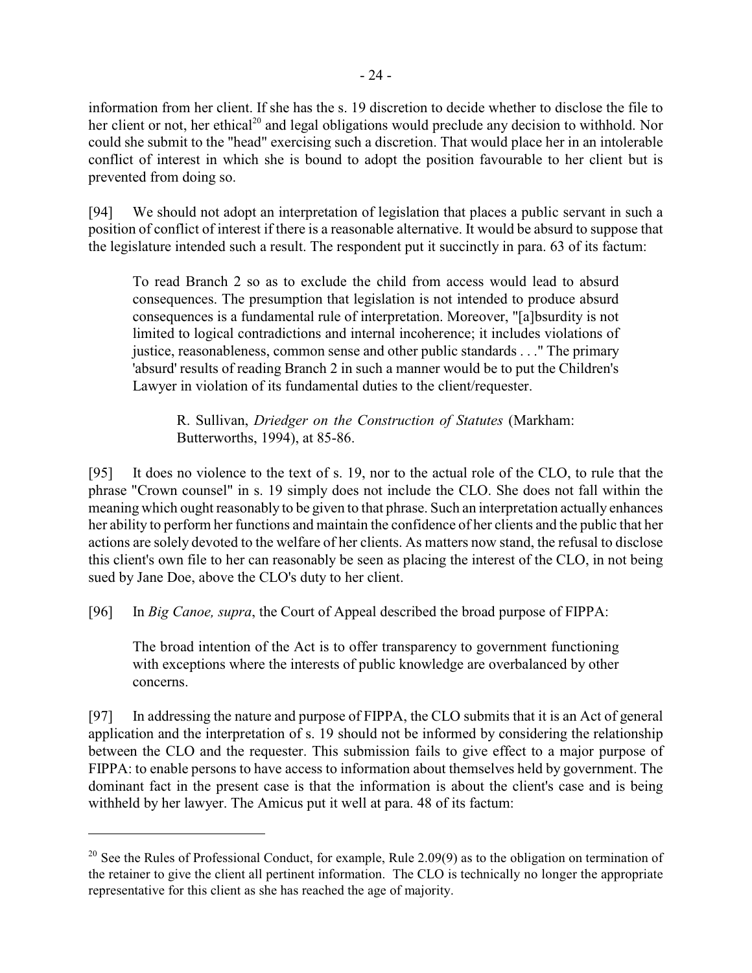information from her client. If she has the s. 19 discretion to decide whether to disclose the file to her client or not, her ethical<sup>20</sup> and legal obligations would preclude any decision to withhold. Nor could she submit to the "head" exercising such a discretion. That would place her in an intolerable conflict of interest in which she is bound to adopt the position favourable to her client but is prevented from doing so.

[94] We should not adopt an interpretation of legislation that places a public servant in such a position of conflict of interest if there is a reasonable alternative. It would be absurd to suppose that the legislature intended such a result. The respondent put it succinctly in para. 63 of its factum:

To read Branch 2 so as to exclude the child from access would lead to absurd consequences. The presumption that legislation is not intended to produce absurd consequences is a fundamental rule of interpretation. Moreover, "[a]bsurdity is not limited to logical contradictions and internal incoherence; it includes violations of justice, reasonableness, common sense and other public standards . . ." The primary 'absurd' results of reading Branch 2 in such a manner would be to put the Children's Lawyer in violation of its fundamental duties to the client/requester.

R. Sullivan, *Driedger on the Construction of Statutes* (Markham: Butterworths, 1994), at 85-86.

[95] It does no violence to the text of s. 19, nor to the actual role of the CLO, to rule that the phrase "Crown counsel" in s. 19 simply does not include the CLO. She does not fall within the meaning which ought reasonably to be given to that phrase. Such an interpretation actually enhances her ability to perform her functions and maintain the confidence of her clients and the public that her actions are solely devoted to the welfare of her clients. As matters now stand, the refusal to disclose this client's own file to her can reasonably be seen as placing the interest of the CLO, in not being sued by Jane Doe, above the CLO's duty to her client.

[96] In *Big Canoe, supra*, the Court of Appeal described the broad purpose of FIPPA:

The broad intention of the Act is to offer transparency to government functioning with exceptions where the interests of public knowledge are overbalanced by other concerns.

[97] In addressing the nature and purpose of FIPPA, the CLO submits that it is an Act of general application and the interpretation of s. 19 should not be informed by considering the relationship between the CLO and the requester. This submission fails to give effect to a major purpose of FIPPA: to enable persons to have access to information about themselves held by government. The dominant fact in the present case is that the information is about the client's case and is being withheld by her lawyer. The Amicus put it well at para. 48 of its factum:

<sup>&</sup>lt;sup>20</sup> See the Rules of Professional Conduct, for example, Rule 2.09(9) as to the obligation on termination of the retainer to give the client all pertinent information. The CLO is technically no longer the appropriate representative for this client as she has reached the age of majority.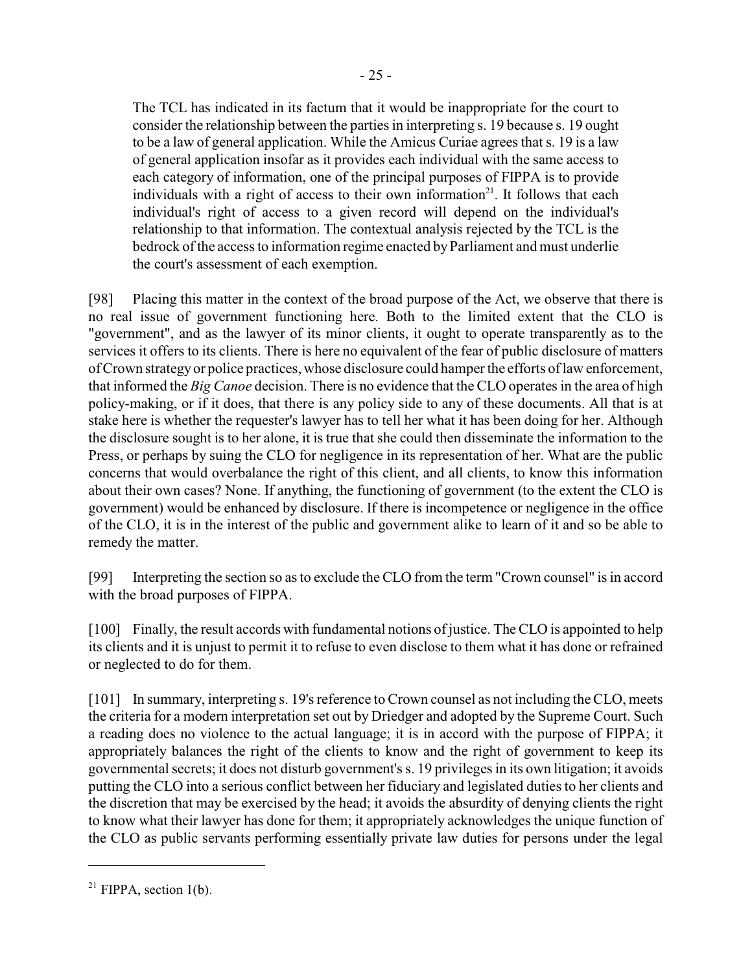The TCL has indicated in its factum that it would be inappropriate for the court to consider the relationship between the parties in interpreting s. 19 because s. 19 ought to be a law of general application. While the Amicus Curiae agrees that s. 19 is a law of general application insofar as it provides each individual with the same access to each category of information, one of the principal purposes of FIPPA is to provide individuals with a right of access to their own information<sup>21</sup>. It follows that each individual's right of access to a given record will depend on the individual's relationship to that information. The contextual analysis rejected by the TCL is the bedrock of the access to information regime enacted by Parliament and must underlie the court's assessment of each exemption.

[98] Placing this matter in the context of the broad purpose of the Act, we observe that there is no real issue of government functioning here. Both to the limited extent that the CLO is "government", and as the lawyer of its minor clients, it ought to operate transparently as to the services it offers to its clients. There is here no equivalent of the fear of public disclosure of matters of Crown strategy or police practices, whose disclosure could hamper the efforts of law enforcement, that informed the *Big Canoe* decision. There is no evidence that the CLO operates in the area of high policy-making, or if it does, that there is any policy side to any of these documents. All that is at stake here is whether the requester's lawyer has to tell her what it has been doing for her. Although the disclosure sought is to her alone, it is true that she could then disseminate the information to the Press, or perhaps by suing the CLO for negligence in its representation of her. What are the public concerns that would overbalance the right of this client, and all clients, to know this information about their own cases? None. If anything, the functioning of government (to the extent the CLO is government) would be enhanced by disclosure. If there is incompetence or negligence in the office of the CLO, it is in the interest of the public and government alike to learn of it and so be able to remedy the matter.

[99] Interpreting the section so as to exclude the CLO from the term "Crown counsel" is in accord with the broad purposes of FIPPA.

[100] Finally, the result accords with fundamental notions of justice. The CLO is appointed to help its clients and it is unjust to permit it to refuse to even disclose to them what it has done or refrained or neglected to do for them.

[101] In summary, interpreting s. 19's reference to Crown counsel as not including the CLO, meets the criteria for a modern interpretation set out by Driedger and adopted by the Supreme Court. Such a reading does no violence to the actual language; it is in accord with the purpose of FIPPA; it appropriately balances the right of the clients to know and the right of government to keep its governmental secrets; it does not disturb government's s. 19 privileges in its own litigation; it avoids putting the CLO into a serious conflict between her fiduciary and legislated duties to her clients and the discretion that may be exercised by the head; it avoids the absurdity of denying clients the right to know what their lawyer has done for them; it appropriately acknowledges the unique function of the CLO as public servants performing essentially private law duties for persons under the legal

<sup>&</sup>lt;sup>21</sup> FIPPA, section 1(b).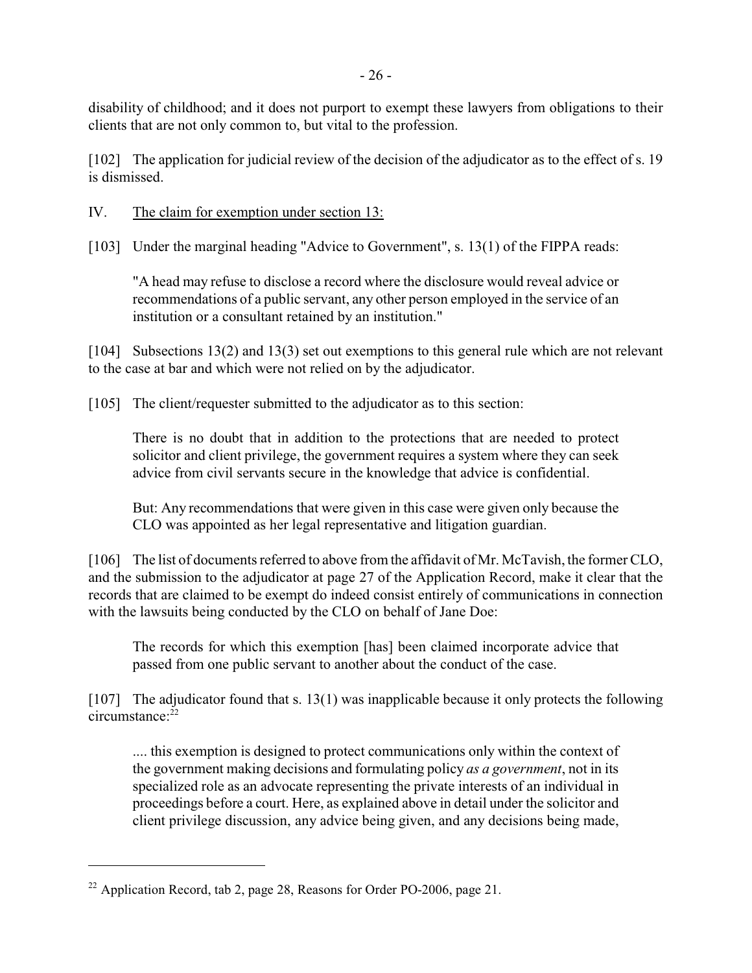disability of childhood; and it does not purport to exempt these lawyers from obligations to their clients that are not only common to, but vital to the profession.

[102] The application for judicial review of the decision of the adjudicator as to the effect of s. 19 is dismissed.

IV. The claim for exemption under section 13:

[103] Under the marginal heading "Advice to Government", s. 13(1) of the FIPPA reads:

"A head may refuse to disclose a record where the disclosure would reveal advice or recommendations of a public servant, any other person employed in the service of an institution or a consultant retained by an institution."

[104] Subsections 13(2) and 13(3) set out exemptions to this general rule which are not relevant to the case at bar and which were not relied on by the adjudicator.

[105] The client/requester submitted to the adjudicator as to this section:

There is no doubt that in addition to the protections that are needed to protect solicitor and client privilege, the government requires a system where they can seek advice from civil servants secure in the knowledge that advice is confidential.

But: Any recommendations that were given in this case were given only because the CLO was appointed as her legal representative and litigation guardian.

[106] The list of documents referred to above from the affidavit of Mr. McTavish, the former CLO, and the submission to the adjudicator at page 27 of the Application Record, make it clear that the records that are claimed to be exempt do indeed consist entirely of communications in connection with the lawsuits being conducted by the CLO on behalf of Jane Doe:

The records for which this exemption [has] been claimed incorporate advice that passed from one public servant to another about the conduct of the case.

[107] The adjudicator found that s. 13(1) was inapplicable because it only protects the following circumstance:<sup>22</sup>

.... this exemption is designed to protect communications only within the context of the government making decisions and formulating policy *as a government*, not in its specialized role as an advocate representing the private interests of an individual in proceedings before a court. Here, as explained above in detail under the solicitor and client privilege discussion, any advice being given, and any decisions being made,

 $22$  Application Record, tab 2, page 28, Reasons for Order PO-2006, page 21.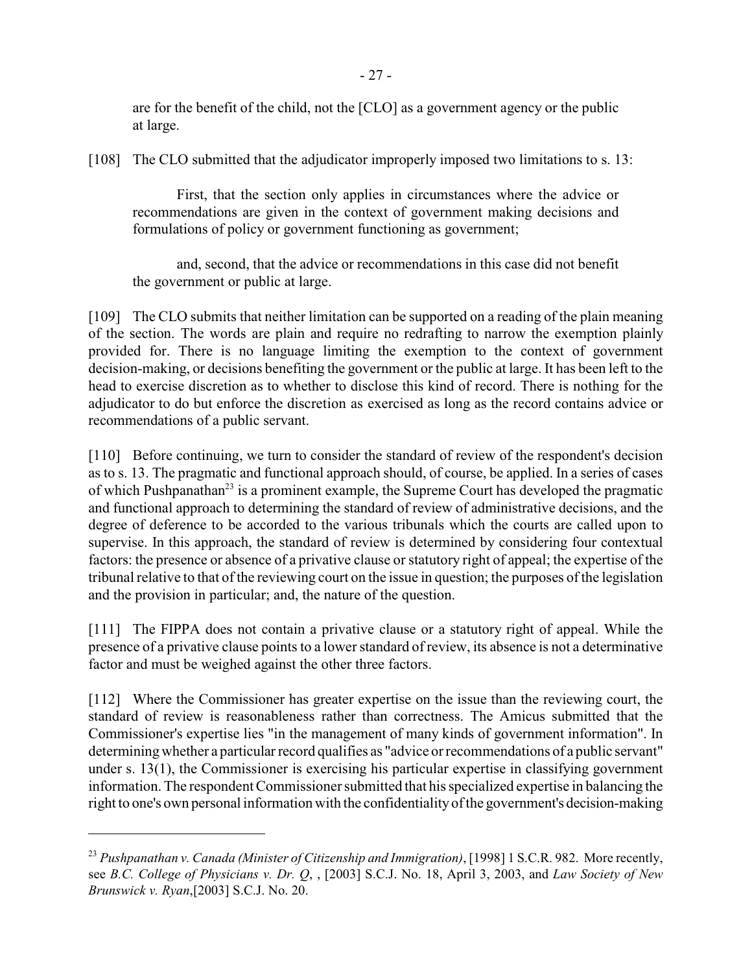are for the benefit of the child, not the [CLO] as a government agency or the public at large.

[108] The CLO submitted that the adjudicator improperly imposed two limitations to s. 13:

First, that the section only applies in circumstances where the advice or recommendations are given in the context of government making decisions and formulations of policy or government functioning as government;

and, second, that the advice or recommendations in this case did not benefit the government or public at large.

[109] The CLO submits that neither limitation can be supported on a reading of the plain meaning of the section. The words are plain and require no redrafting to narrow the exemption plainly provided for. There is no language limiting the exemption to the context of government decision-making, or decisions benefiting the government or the public at large. It has been left to the head to exercise discretion as to whether to disclose this kind of record. There is nothing for the adjudicator to do but enforce the discretion as exercised as long as the record contains advice or recommendations of a public servant.

[110] Before continuing, we turn to consider the standard of review of the respondent's decision as to s. 13. The pragmatic and functional approach should, of course, be applied. In a series of cases of which Pushpanathan<sup>23</sup> is a prominent example, the Supreme Court has developed the pragmatic and functional approach to determining the standard of review of administrative decisions, and the degree of deference to be accorded to the various tribunals which the courts are called upon to supervise. In this approach, the standard of review is determined by considering four contextual factors: the presence or absence of a privative clause or statutory right of appeal; the expertise of the tribunal relative to that of the reviewing court on the issue in question; the purposes of the legislation and the provision in particular; and, the nature of the question.

[111] The FIPPA does not contain a privative clause or a statutory right of appeal. While the presence of a privative clause points to a lower standard of review, its absence is not a determinative factor and must be weighed against the other three factors.

[112] Where the Commissioner has greater expertise on the issue than the reviewing court, the standard of review is reasonableness rather than correctness. The Amicus submitted that the Commissioner's expertise lies "in the management of many kinds of government information". In determining whether a particular record qualifies as "advice or recommendations of a public servant" under s. 13(1), the Commissioner is exercising his particular expertise in classifying government information. The respondent Commissioner submitted that his specialized expertise in balancing the right to one's own personal information with the confidentiality of the government's decision-making

<sup>&</sup>lt;sup>23</sup> Pushpanathan v. Canada (Minister of Citizenship and Immigration), [1998] 1 S.C.R. 982. More recently, see *B.C. College of Physicians v. Dr. Q*, , [2003] S.C.J. No. 18, April 3, 2003, and *Law Society of New Brunswick v. Ryan*,[2003] S.C.J. No. 20.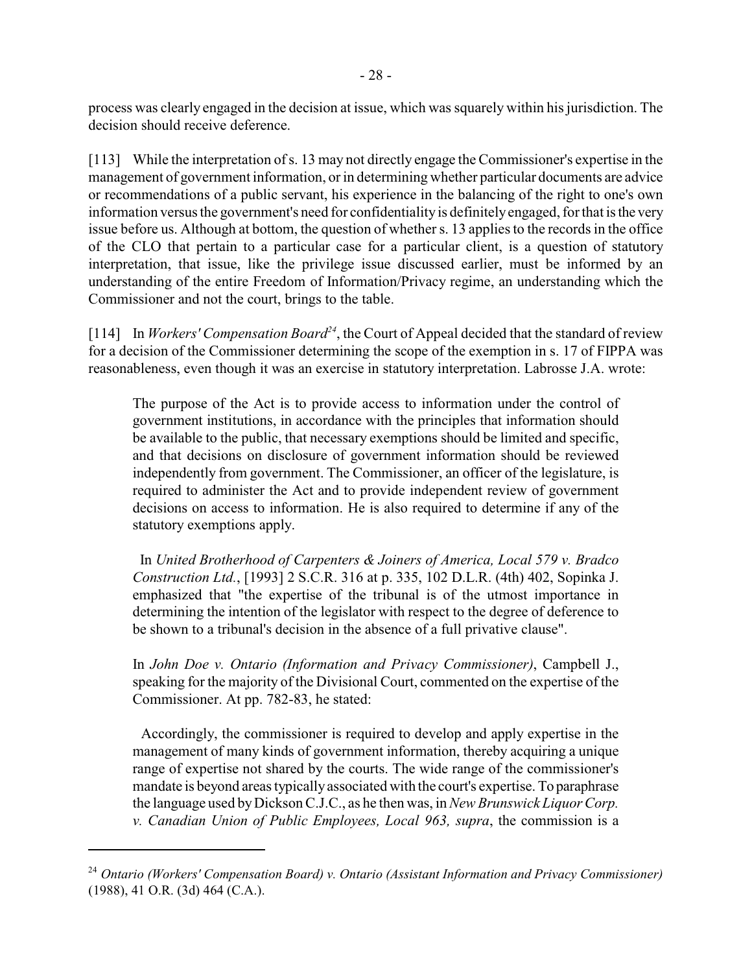process was clearly engaged in the decision at issue, which was squarely within his jurisdiction. The decision should receive deference.

[113] While the interpretation of s. 13 may not directly engage the Commissioner's expertise in the management of government information, or in determining whether particular documents are advice or recommendations of a public servant, his experience in the balancing of the right to one's own information versus the government's need for confidentiality is definitely engaged, for that is the very issue before us. Although at bottom, the question of whether s. 13 applies to the records in the office of the CLO that pertain to a particular case for a particular client, is a question of statutory interpretation, that issue, like the privilege issue discussed earlier, must be informed by an understanding of the entire Freedom of Information/Privacy regime, an understanding which the Commissioner and not the court, brings to the table.

[114] In *Workers' Compensation Board*<sup>24</sup>, the Court of Appeal decided that the standard of review for a decision of the Commissioner determining the scope of the exemption in s. 17 of FIPPA was reasonableness, even though it was an exercise in statutory interpretation. Labrosse J.A. wrote:

The purpose of the Act is to provide access to information under the control of government institutions, in accordance with the principles that information should be available to the public, that necessary exemptions should be limited and specific, and that decisions on disclosure of government information should be reviewed independently from government. The Commissioner, an officer of the legislature, is required to administer the Act and to provide independent review of government decisions on access to information. He is also required to determine if any of the statutory exemptions apply.

 In *United Brotherhood of Carpenters & Joiners of America, Local 579 v. Bradco Construction Ltd.*, [1993] 2 S.C.R. 316 at p. 335, 102 D.L.R. (4th) 402, Sopinka J. emphasized that "the expertise of the tribunal is of the utmost importance in determining the intention of the legislator with respect to the degree of deference to be shown to a tribunal's decision in the absence of a full privative clause".

In *John Doe v. Ontario (Information and Privacy Commissioner)*, Campbell J., speaking for the majority of the Divisional Court, commented on the expertise of the Commissioner. At pp. 782-83, he stated:

 Accordingly, the commissioner is required to develop and apply expertise in the management of many kinds of government information, thereby acquiring a unique range of expertise not shared by the courts. The wide range of the commissioner's mandate is beyond areas typically associated with the court's expertise. To paraphrase the language used by Dickson C.J.C., as he then was, in *New Brunswick Liquor Corp. v. Canadian Union of Public Employees, Local 963, supra*, the commission is a

*Ontario (Workers' Compensation Board) v. Ontario (Assistant Information and Privacy Commissioner)* <sup>24</sup> (1988), 41 O.R. (3d) 464 (C.A.).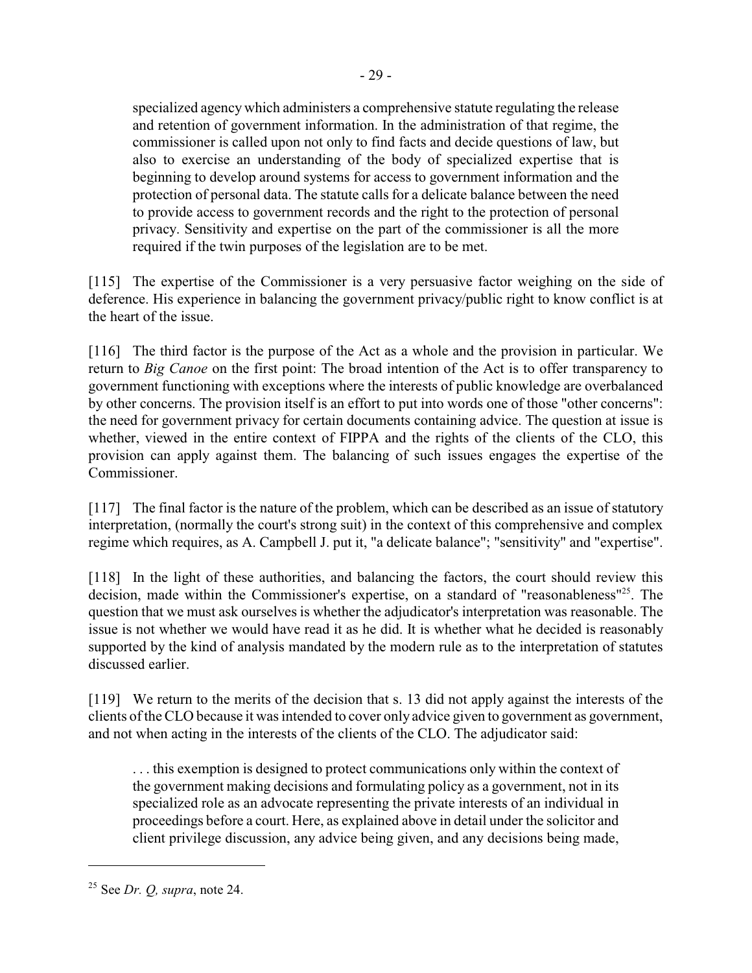specialized agency which administers a comprehensive statute regulating the release and retention of government information. In the administration of that regime, the commissioner is called upon not only to find facts and decide questions of law, but also to exercise an understanding of the body of specialized expertise that is beginning to develop around systems for access to government information and the protection of personal data. The statute calls for a delicate balance between the need to provide access to government records and the right to the protection of personal privacy. Sensitivity and expertise on the part of the commissioner is all the more required if the twin purposes of the legislation are to be met.

[115] The expertise of the Commissioner is a very persuasive factor weighing on the side of deference. His experience in balancing the government privacy/public right to know conflict is at the heart of the issue.

[116] The third factor is the purpose of the Act as a whole and the provision in particular. We return to *Big Canoe* on the first point: The broad intention of the Act is to offer transparency to government functioning with exceptions where the interests of public knowledge are overbalanced by other concerns. The provision itself is an effort to put into words one of those "other concerns": the need for government privacy for certain documents containing advice. The question at issue is whether, viewed in the entire context of FIPPA and the rights of the clients of the CLO, this provision can apply against them. The balancing of such issues engages the expertise of the Commissioner.

[117] The final factor is the nature of the problem, which can be described as an issue of statutory interpretation, (normally the court's strong suit) in the context of this comprehensive and complex regime which requires, as A. Campbell J. put it, "a delicate balance"; "sensitivity" and "expertise".

[118] In the light of these authorities, and balancing the factors, the court should review this decision, made within the Commissioner's expertise, on a standard of "reasonableness"<sup>25</sup>. The question that we must ask ourselves is whether the adjudicator's interpretation was reasonable. The issue is not whether we would have read it as he did. It is whether what he decided is reasonably supported by the kind of analysis mandated by the modern rule as to the interpretation of statutes discussed earlier.

[119] We return to the merits of the decision that s. 13 did not apply against the interests of the clients of the CLO because it was intended to cover only advice given to government as government, and not when acting in the interests of the clients of the CLO. The adjudicator said:

. . . this exemption is designed to protect communications only within the context of the government making decisions and formulating policy as a government, not in its specialized role as an advocate representing the private interests of an individual in proceedings before a court. Here, as explained above in detail under the solicitor and client privilege discussion, any advice being given, and any decisions being made,

 $25$  See *Dr. Q, supra*, note 24.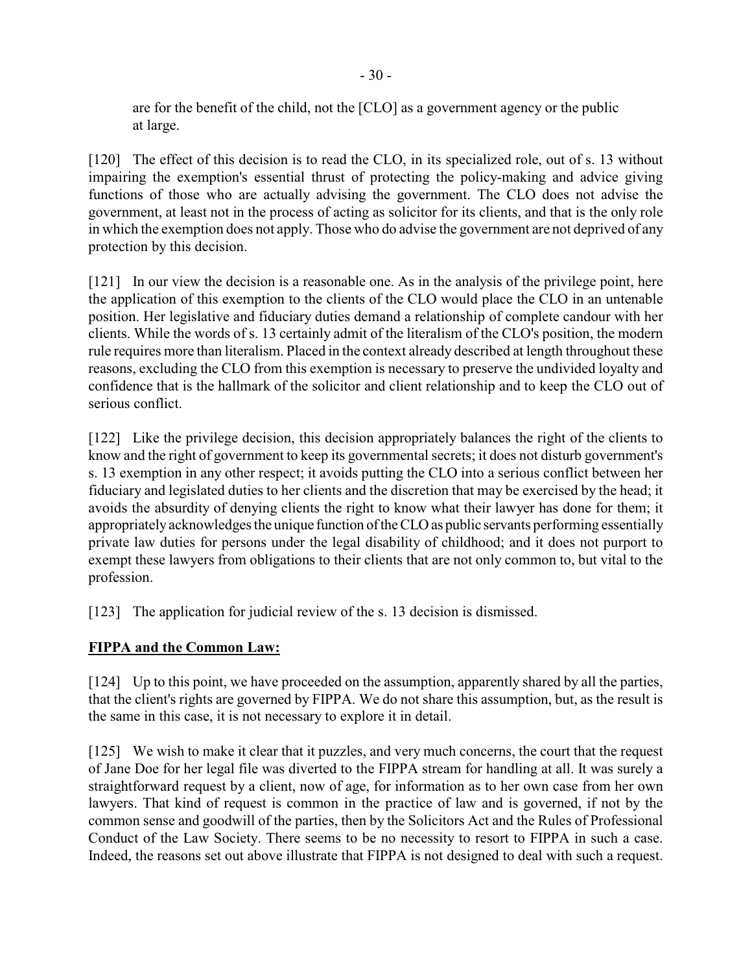are for the benefit of the child, not the [CLO] as a government agency or the public at large.

[120] The effect of this decision is to read the CLO, in its specialized role, out of s. 13 without impairing the exemption's essential thrust of protecting the policy-making and advice giving functions of those who are actually advising the government. The CLO does not advise the government, at least not in the process of acting as solicitor for its clients, and that is the only role in which the exemption does not apply. Those who do advise the government are not deprived of any protection by this decision.

[121] In our view the decision is a reasonable one. As in the analysis of the privilege point, here the application of this exemption to the clients of the CLO would place the CLO in an untenable position. Her legislative and fiduciary duties demand a relationship of complete candour with her clients. While the words of s. 13 certainly admit of the literalism of the CLO's position, the modern rule requires more than literalism. Placed in the context already described at length throughout these reasons, excluding the CLO from this exemption is necessary to preserve the undivided loyalty and confidence that is the hallmark of the solicitor and client relationship and to keep the CLO out of serious conflict.

[122] Like the privilege decision, this decision appropriately balances the right of the clients to know and the right of government to keep its governmental secrets; it does not disturb government's s. 13 exemption in any other respect; it avoids putting the CLO into a serious conflict between her fiduciary and legislated duties to her clients and the discretion that may be exercised by the head; it avoids the absurdity of denying clients the right to know what their lawyer has done for them; it appropriately acknowledges the unique function of the CLO as public servants performing essentially private law duties for persons under the legal disability of childhood; and it does not purport to exempt these lawyers from obligations to their clients that are not only common to, but vital to the profession.

[123] The application for judicial review of the s. 13 decision is dismissed.

# **FIPPA and the Common Law:**

[124] Up to this point, we have proceeded on the assumption, apparently shared by all the parties, that the client's rights are governed by FIPPA. We do not share this assumption, but, as the result is the same in this case, it is not necessary to explore it in detail.

[125] We wish to make it clear that it puzzles, and very much concerns, the court that the request of Jane Doe for her legal file was diverted to the FIPPA stream for handling at all. It was surely a straightforward request by a client, now of age, for information as to her own case from her own lawyers. That kind of request is common in the practice of law and is governed, if not by the common sense and goodwill of the parties, then by the Solicitors Act and the Rules of Professional Conduct of the Law Society. There seems to be no necessity to resort to FIPPA in such a case. Indeed, the reasons set out above illustrate that FIPPA is not designed to deal with such a request.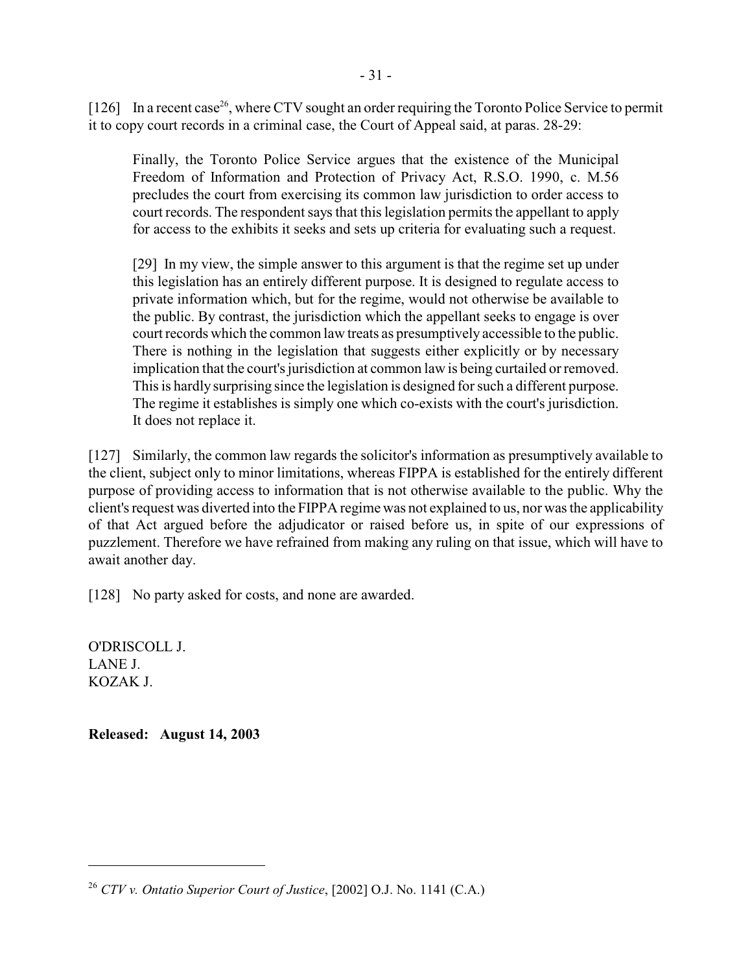[126] In a recent case<sup>26</sup>, where CTV sought an order requiring the Toronto Police Service to permit it to copy court records in a criminal case, the Court of Appeal said, at paras. 28-29:

Finally, the Toronto Police Service argues that the existence of the Municipal Freedom of Information and Protection of Privacy Act, R.S.O. 1990, c. M.56 precludes the court from exercising its common law jurisdiction to order access to court records. The respondent says that this legislation permits the appellant to apply for access to the exhibits it seeks and sets up criteria for evaluating such a request.

[29] In my view, the simple answer to this argument is that the regime set up under this legislation has an entirely different purpose. It is designed to regulate access to private information which, but for the regime, would not otherwise be available to the public. By contrast, the jurisdiction which the appellant seeks to engage is over court records which the common law treats as presumptively accessible to the public. There is nothing in the legislation that suggests either explicitly or by necessary implication that the court's jurisdiction at common law is being curtailed or removed. This is hardly surprising since the legislation is designed for such a different purpose. The regime it establishes is simply one which co-exists with the court's jurisdiction. It does not replace it.

[127] Similarly, the common law regards the solicitor's information as presumptively available to the client, subject only to minor limitations, whereas FIPPA is established for the entirely different purpose of providing access to information that is not otherwise available to the public. Why the client's request was diverted into the FIPPA regime was not explained to us, nor was the applicability of that Act argued before the adjudicator or raised before us, in spite of our expressions of puzzlement. Therefore we have refrained from making any ruling on that issue, which will have to await another day.

[128] No party asked for costs, and none are awarded.

O'DRISCOLL J. LANE J. KOZAK J.

**Released: August 14, 2003**

<sup>&</sup>lt;sup>26</sup> CTV v. Ontatio Superior Court of Justice, [2002] O.J. No. 1141 (C.A.)